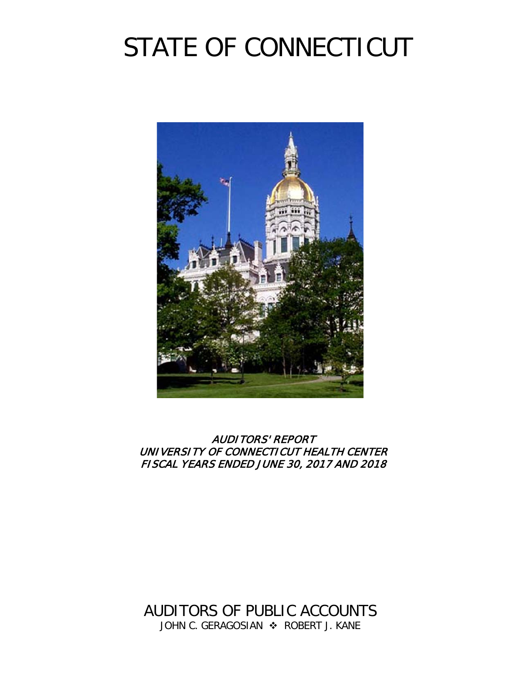# STATE OF CONNECTICUT



AUDITORS' REPORT UNIVERSITY OF CONNECTICUT HEALTH CENTER FISCAL YEARS ENDED JUNE 30, 2017 AND 2018

AUDITORS OF PUBLIC ACCOUNTS JOHN C. GERAGOSIAN  $\div$  ROBERT J. KANE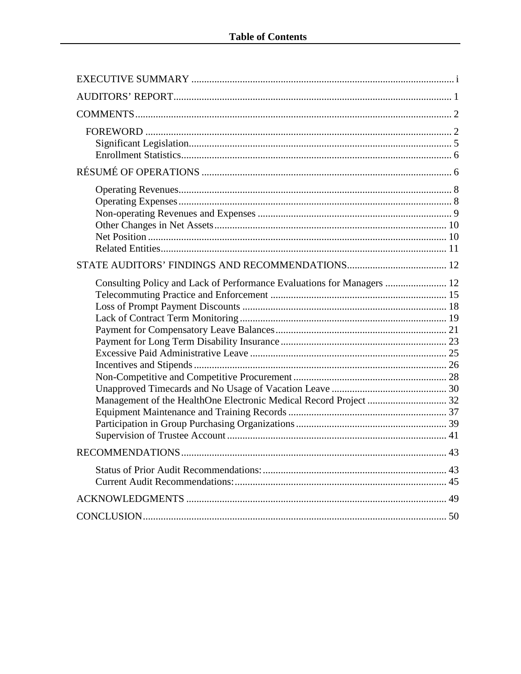| Consulting Policy and Lack of Performance Evaluations for Managers  12<br>Management of the HealthOne Electronic Medical Record Project  32 |  |
|---------------------------------------------------------------------------------------------------------------------------------------------|--|
| <b>RECOMMENDATIONS</b><br>.43                                                                                                               |  |
|                                                                                                                                             |  |
|                                                                                                                                             |  |
|                                                                                                                                             |  |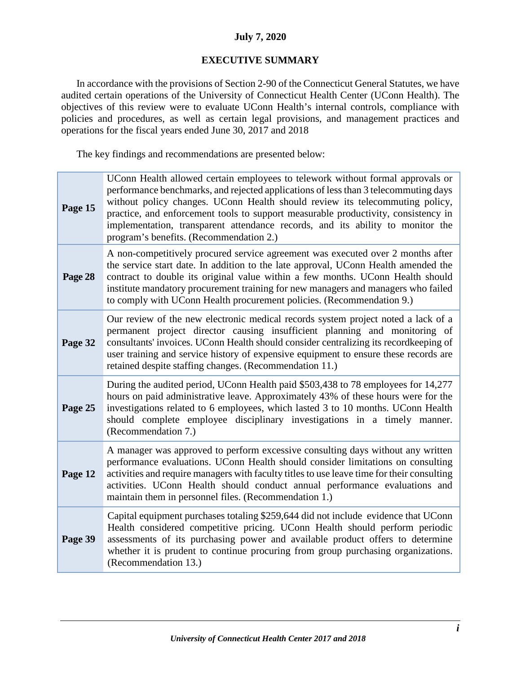#### **July 7, 2020**

#### **EXECUTIVE SUMMARY**

<span id="page-2-0"></span>In accordance with the provisions of Section 2-90 of the Connecticut General Statutes, we have audited certain operations of the University of Connecticut Health Center (UConn Health). The objectives of this review were to evaluate UConn Health's internal controls, compliance with policies and procedures, as well as certain legal provisions, and management practices and operations for the fiscal years ended June 30, 2017 and 2018

The key findings and recommendations are presented below:

| Page 15 | UConn Health allowed certain employees to telework without formal approvals or<br>performance benchmarks, and rejected applications of less than 3 telecommuting days<br>without policy changes. UConn Health should review its telecommuting policy,<br>practice, and enforcement tools to support measurable productivity, consistency in<br>implementation, transparent attendance records, and its ability to monitor the<br>program's benefits. (Recommendation 2.) |
|---------|--------------------------------------------------------------------------------------------------------------------------------------------------------------------------------------------------------------------------------------------------------------------------------------------------------------------------------------------------------------------------------------------------------------------------------------------------------------------------|
| Page 28 | A non-competitively procured service agreement was executed over 2 months after<br>the service start date. In addition to the late approval, UConn Health amended the<br>contract to double its original value within a few months. UConn Health should<br>institute mandatory procurement training for new managers and managers who failed<br>to comply with UConn Health procurement policies. (Recommendation 9.)                                                    |
| Page 32 | Our review of the new electronic medical records system project noted a lack of a<br>permanent project director causing insufficient planning and monitoring of<br>consultants' invoices. UConn Health should consider centralizing its recordkeeping of<br>user training and service history of expensive equipment to ensure these records are<br>retained despite staffing changes. (Recommendation 11.)                                                              |
| Page 25 | During the audited period, UConn Health paid \$503,438 to 78 employees for 14,277<br>hours on paid administrative leave. Approximately 43% of these hours were for the<br>investigations related to 6 employees, which lasted 3 to 10 months. UConn Health<br>should complete employee disciplinary investigations in a timely manner.<br>(Recommendation 7.)                                                                                                            |
| Page 12 | A manager was approved to perform excessive consulting days without any written<br>performance evaluations. UConn Health should consider limitations on consulting<br>activities and require managers with faculty titles to use leave time for their consulting<br>activities. UConn Health should conduct annual performance evaluations and<br>maintain them in personnel files. (Recommendation 1.)                                                                  |
| Page 39 | Capital equipment purchases totaling \$259,644 did not include evidence that UConn<br>Health considered competitive pricing. UConn Health should perform periodic<br>assessments of its purchasing power and available product offers to determine<br>whether it is prudent to continue procuring from group purchasing organizations.<br>(Recommendation 13.)                                                                                                           |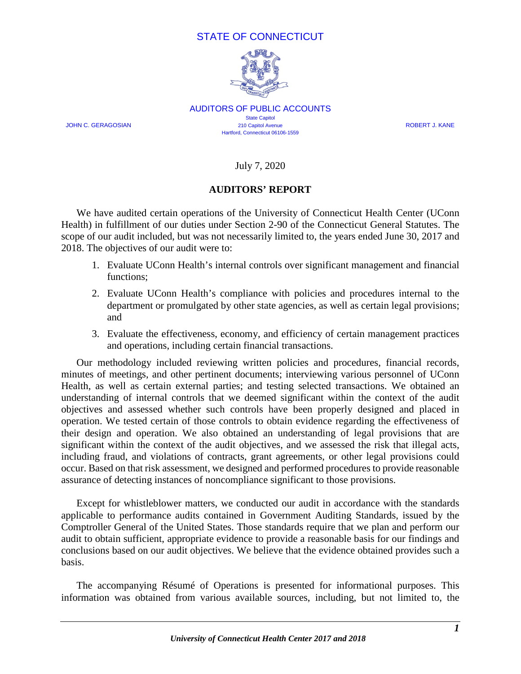#### STATE OF CONNECTICUT



AUDITORS OF PUBLIC ACCOUNTS **State Capitol** JOHN C. GERAGOSIAN 210 Capitol Avenue ROBERT J. KANE Hartford, Connecticut 06106-1559

July 7, 2020

#### **AUDITORS' REPORT**

<span id="page-3-0"></span>We have audited certain operations of the University of Connecticut Health Center (UConn Health) in fulfillment of our duties under Section 2-90 of the Connecticut General Statutes. The scope of our audit included, but was not necessarily limited to, the years ended June 30, 2017 and 2018. The objectives of our audit were to:

- 1. Evaluate UConn Health's internal controls over significant management and financial functions;
- 2. Evaluate UConn Health's compliance with policies and procedures internal to the department or promulgated by other state agencies, as well as certain legal provisions; and
- 3. Evaluate the effectiveness, economy, and efficiency of certain management practices and operations, including certain financial transactions.

Our methodology included reviewing written policies and procedures, financial records, minutes of meetings, and other pertinent documents; interviewing various personnel of UConn Health, as well as certain external parties; and testing selected transactions. We obtained an understanding of internal controls that we deemed significant within the context of the audit objectives and assessed whether such controls have been properly designed and placed in operation. We tested certain of those controls to obtain evidence regarding the effectiveness of their design and operation. We also obtained an understanding of legal provisions that are significant within the context of the audit objectives, and we assessed the risk that illegal acts, including fraud, and violations of contracts, grant agreements, or other legal provisions could occur. Based on that risk assessment, we designed and performed procedures to provide reasonable assurance of detecting instances of noncompliance significant to those provisions.

Except for whistleblower matters, we conducted our audit in accordance with the standards applicable to performance audits contained in Government Auditing Standards, issued by the Comptroller General of the United States. Those standards require that we plan and perform our audit to obtain sufficient, appropriate evidence to provide a reasonable basis for our findings and conclusions based on our audit objectives. We believe that the evidence obtained provides such a basis.

The accompanying Résumé of Operations is presented for informational purposes. This information was obtained from various available sources, including, but not limited to, the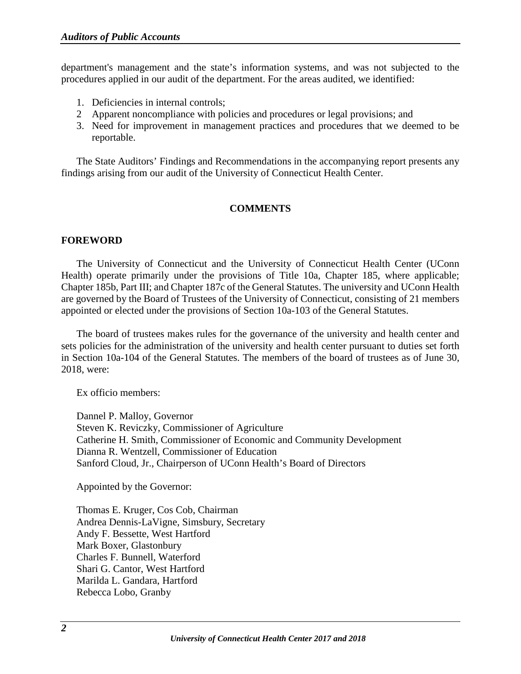department's management and the state's information systems, and was not subjected to the procedures applied in our audit of the department. For the areas audited, we identified:

- 1. Deficiencies in internal controls;
- 2 Apparent noncompliance with policies and procedures or legal provisions; and
- 3. Need for improvement in management practices and procedures that we deemed to be reportable.

The State Auditors' Findings and Recommendations in the accompanying report presents any findings arising from our audit of the University of Connecticut Health Center.

#### **COMMENTS**

#### <span id="page-4-1"></span><span id="page-4-0"></span>**FOREWORD**

The University of Connecticut and the University of Connecticut Health Center (UConn Health) operate primarily under the provisions of Title 10a, Chapter 185, where applicable; Chapter 185b, Part III; and Chapter 187c of the General Statutes. The university and UConn Health are governed by the Board of Trustees of the University of Connecticut, consisting of 21 members appointed or elected under the provisions of Section 10a-103 of the General Statutes.

The board of trustees makes rules for the governance of the university and health center and sets policies for the administration of the university and health center pursuant to duties set forth in Section 10a-104 of the General Statutes. The members of the board of trustees as of June 30, 2018, were:

Ex officio members:

Dannel P. Malloy, Governor Steven K. Reviczky, Commissioner of Agriculture Catherine H. Smith, Commissioner of Economic and Community Development Dianna R. Wentzell, Commissioner of Education Sanford Cloud, Jr., Chairperson of UConn Health's Board of Directors

Appointed by the Governor:

Thomas E. Kruger, Cos Cob, Chairman Andrea Dennis-LaVigne, Simsbury, Secretary Andy F. Bessette, West Hartford Mark Boxer, Glastonbury Charles F. Bunnell, Waterford Shari G. Cantor, West Hartford Marilda L. Gandara, Hartford Rebecca Lobo, Granby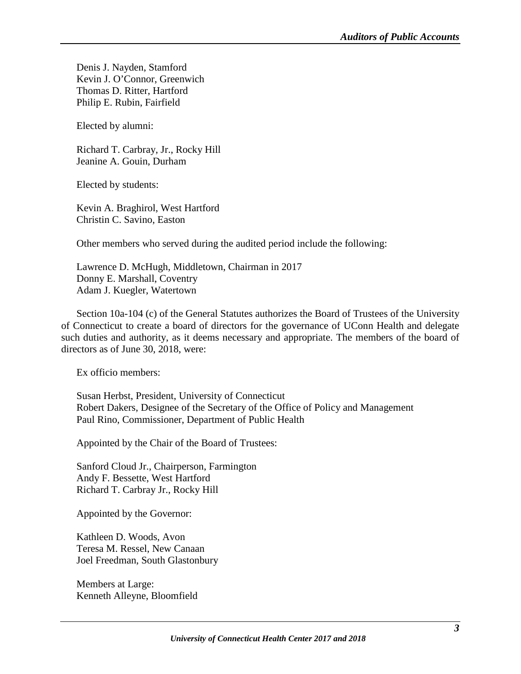Denis J. Nayden, Stamford Kevin J. O'Connor, Greenwich Thomas D. Ritter, Hartford Philip E. Rubin, Fairfield

Elected by alumni:

Richard T. Carbray, Jr., Rocky Hill Jeanine A. Gouin, Durham

Elected by students:

Kevin A. Braghirol, West Hartford Christin C. Savino, Easton

Other members who served during the audited period include the following:

Lawrence D. McHugh, Middletown, Chairman in 2017 Donny E. Marshall, Coventry Adam J. Kuegler, Watertown

Section 10a-104 (c) of the General Statutes authorizes the Board of Trustees of the University of Connecticut to create a board of directors for the governance of UConn Health and delegate such duties and authority, as it deems necessary and appropriate. The members of the board of directors as of June 30, 2018, were:

Ex officio members:

Susan Herbst, President, University of Connecticut Robert Dakers, Designee of the Secretary of the Office of Policy and Management Paul Rino, Commissioner, Department of Public Health

Appointed by the Chair of the Board of Trustees:

Sanford Cloud Jr., Chairperson, Farmington Andy F. Bessette, West Hartford Richard T. Carbray Jr., Rocky Hill

Appointed by the Governor:

Kathleen D. Woods, Avon Teresa M. Ressel, New Canaan Joel Freedman, South Glastonbury

Members at Large: Kenneth Alleyne, Bloomfield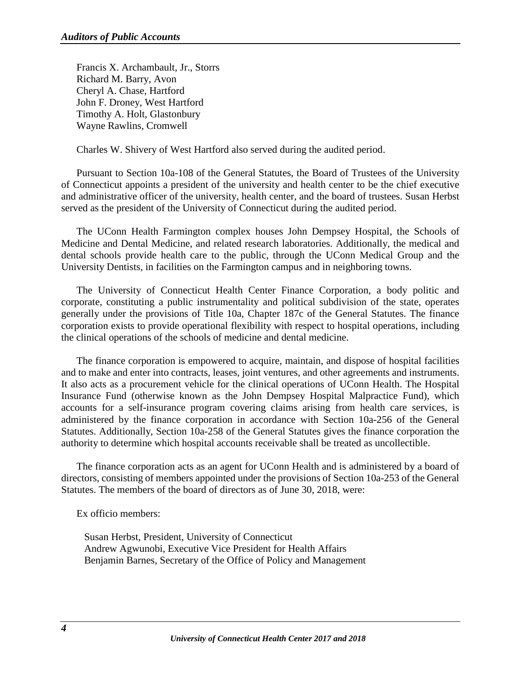Francis X. Archambault, Jr., Storrs Richard M. Barry, Avon Cheryl A. Chase, Hartford John F. Droney, West Hartford Timothy A. Holt, Glastonbury Wayne Rawlins, Cromwell

Charles W. Shivery of West Hartford also served during the audited period.

Pursuant to Section 10a-108 of the General Statutes, the Board of Trustees of the University of Connecticut appoints a president of the university and health center to be the chief executive and administrative officer of the university, health center, and the board of trustees. Susan Herbst served as the president of the University of Connecticut during the audited period.

The UConn Health Farmington complex houses John Dempsey Hospital, the Schools of Medicine and Dental Medicine, and related research laboratories. Additionally, the medical and dental schools provide health care to the public, through the UConn Medical Group and the University Dentists, in facilities on the Farmington campus and in neighboring towns.

The University of Connecticut Health Center Finance Corporation, a body politic and corporate, constituting a public instrumentality and political subdivision of the state, operates generally under the provisions of Title 10a, Chapter 187c of the General Statutes. The finance corporation exists to provide operational flexibility with respect to hospital operations, including the clinical operations of the schools of medicine and dental medicine.

The finance corporation is empowered to acquire, maintain, and dispose of hospital facilities and to make and enter into contracts, leases, joint ventures, and other agreements and instruments. It also acts as a procurement vehicle for the clinical operations of UConn Health. The Hospital Insurance Fund (otherwise known as the John Dempsey Hospital Malpractice Fund), which accounts for a self-insurance program covering claims arising from health care services, is administered by the finance corporation in accordance with Section 10a-256 of the General Statutes. Additionally, Section 10a-258 of the General Statutes gives the finance corporation the authority to determine which hospital accounts receivable shall be treated as uncollectible.

The finance corporation acts as an agent for UConn Health and is administered by a board of directors, consisting of members appointed under the provisions of Section 10a-253 of the General Statutes. The members of the board of directors as of June 30, 2018, were:

Ex officio members:

Susan Herbst, President, University of Connecticut Andrew Agwunobi, Executive Vice President for Health Affairs Benjamin Barnes, Secretary of the Office of Policy and Management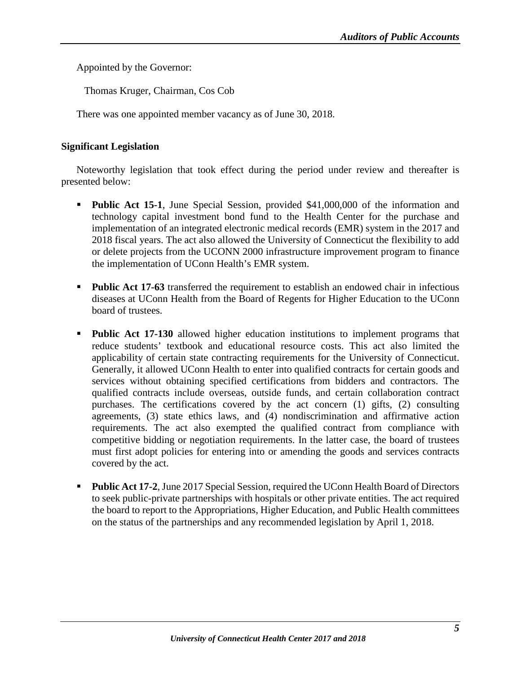Appointed by the Governor:

Thomas Kruger, Chairman, Cos Cob

There was one appointed member vacancy as of June 30, 2018.

#### <span id="page-7-0"></span>**Significant Legislation**

Noteworthy legislation that took effect during the period under review and thereafter is presented below:

- **Public Act 15-1**, June Special Session, provided \$41,000,000 of the information and technology capital investment bond fund to the Health Center for the purchase and implementation of an integrated electronic medical records (EMR) system in the 2017 and 2018 fiscal years. The act also allowed the University of Connecticut the flexibility to add or delete projects from the UCONN 2000 infrastructure improvement program to finance the implementation of UConn Health's EMR system.
- **Public Act 17-63** transferred the requirement to establish an endowed chair in infectious diseases at UConn Health from the Board of Regents for Higher Education to the UConn board of trustees.
- **Public Act 17-130** allowed higher education institutions to implement programs that reduce students' textbook and educational resource costs. This act also limited the applicability of certain state contracting requirements for the University of Connecticut. Generally, it allowed UConn Health to enter into qualified contracts for certain goods and services without obtaining specified certifications from bidders and contractors. The qualified contracts include overseas, outside funds, and certain collaboration contract purchases. The certifications covered by the act concern (1) gifts, (2) consulting agreements, (3) state ethics laws, and (4) nondiscrimination and affirmative action requirements. The act also exempted the qualified contract from compliance with competitive bidding or negotiation requirements. In the latter case, the board of trustees must first adopt policies for entering into or amending the goods and services contracts covered by the act.
- **Public Act 17-2**, June 2017 Special Session, required the UConn Health Board of Directors to seek public-private partnerships with hospitals or other private entities. The act required the board to report to the Appropriations, Higher Education, and Public Health committees on the status of the partnerships and any recommended legislation by April 1, 2018.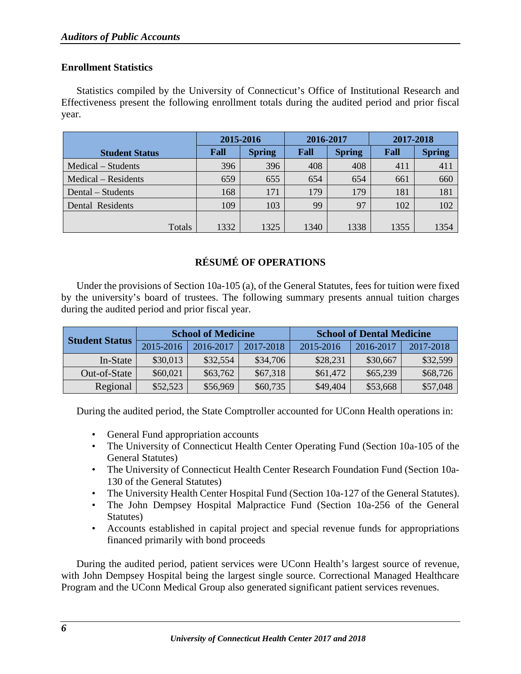#### <span id="page-8-0"></span>**Enrollment Statistics**

Statistics compiled by the University of Connecticut's Office of Institutional Research and Effectiveness present the following enrollment totals during the audited period and prior fiscal year.

| 2015-2016 |               |      |               | 2017-2018         |               |
|-----------|---------------|------|---------------|-------------------|---------------|
| Fall      | <b>Spring</b> | Fall | <b>Spring</b> | Fall              | <b>Spring</b> |
| 396       | 396           | 408  | 408           | 411               | 411           |
| 659       | 655           | 654  | 654           | 661               | 660           |
| 168       | 171           | 179  | 179           | 181               | 181           |
| 109       | 103           | 99   | 97            | 102               | 102           |
|           |               |      |               |                   | 1354          |
|           | 1332          | 1325 | 1340          | 2016-2017<br>1338 | 1355          |

### **RÉSUMÉ OF OPERATIONS**

<span id="page-8-1"></span>Under the provisions of Section 10a-105 (a), of the General Statutes, fees for tuition were fixed by the university's board of trustees. The following summary presents annual tuition charges during the audited period and prior fiscal year.

|                       |           | <b>School of Medicine</b> |           |           | <b>School of Dental Medicine</b> |           |
|-----------------------|-----------|---------------------------|-----------|-----------|----------------------------------|-----------|
| <b>Student Status</b> | 2015-2016 | 2016-2017                 | 2017-2018 | 2015-2016 | 2016-2017                        | 2017-2018 |
| In-State              | \$30,013  | \$32,554                  | \$34,706  | \$28,231  | \$30,667                         | \$32,599  |
| Out-of-State          | \$60,021  | \$63,762                  | \$67,318  | \$61,472  | \$65,239                         | \$68,726  |
| Regional              | \$52,523  | \$56,969                  | \$60,735  | \$49,404  | \$53,668                         | \$57,048  |

During the audited period, the State Comptroller accounted for UConn Health operations in:

- General Fund appropriation accounts
- The University of Connecticut Health Center Operating Fund (Section 10a-105 of the General Statutes)
- The University of Connecticut Health Center Research Foundation Fund (Section 10a-130 of the General Statutes)
- The University Health Center Hospital Fund (Section 10a-127 of the General Statutes).
- The John Dempsey Hospital Malpractice Fund (Section 10a-256 of the General Statutes)
- Accounts established in capital project and special revenue funds for appropriations financed primarily with bond proceeds

During the audited period, patient services were UConn Health's largest source of revenue, with John Dempsey Hospital being the largest single source. Correctional Managed Healthcare Program and the UConn Medical Group also generated significant patient services revenues.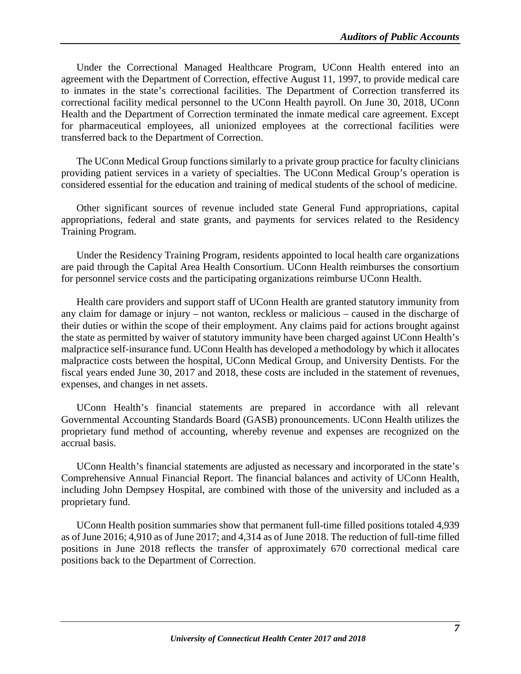Under the Correctional Managed Healthcare Program, UConn Health entered into an agreement with the Department of Correction, effective August 11, 1997, to provide medical care to inmates in the state's correctional facilities. The Department of Correction transferred its correctional facility medical personnel to the UConn Health payroll. On June 30, 2018, UConn Health and the Department of Correction terminated the inmate medical care agreement. Except for pharmaceutical employees, all unionized employees at the correctional facilities were transferred back to the Department of Correction.

The UConn Medical Group functions similarly to a private group practice for faculty clinicians providing patient services in a variety of specialties. The UConn Medical Group's operation is considered essential for the education and training of medical students of the school of medicine.

Other significant sources of revenue included state General Fund appropriations, capital appropriations, federal and state grants, and payments for services related to the Residency Training Program.

Under the Residency Training Program, residents appointed to local health care organizations are paid through the Capital Area Health Consortium. UConn Health reimburses the consortium for personnel service costs and the participating organizations reimburse UConn Health.

Health care providers and support staff of UConn Health are granted statutory immunity from any claim for damage or injury – not wanton, reckless or malicious – caused in the discharge of their duties or within the scope of their employment. Any claims paid for actions brought against the state as permitted by waiver of statutory immunity have been charged against UConn Health's malpractice self-insurance fund. UConn Health has developed a methodology by which it allocates malpractice costs between the hospital, UConn Medical Group, and University Dentists. For the fiscal years ended June 30, 2017 and 2018, these costs are included in the statement of revenues, expenses, and changes in net assets.

UConn Health's financial statements are prepared in accordance with all relevant Governmental Accounting Standards Board (GASB) pronouncements. UConn Health utilizes the proprietary fund method of accounting, whereby revenue and expenses are recognized on the accrual basis.

UConn Health's financial statements are adjusted as necessary and incorporated in the state's Comprehensive Annual Financial Report. The financial balances and activity of UConn Health, including John Dempsey Hospital, are combined with those of the university and included as a proprietary fund.

UConn Health position summaries show that permanent full-time filled positions totaled 4,939 as of June 2016; 4,910 as of June 2017; and 4,314 as of June 2018. The reduction of full-time filled positions in June 2018 reflects the transfer of approximately 670 correctional medical care positions back to the Department of Correction.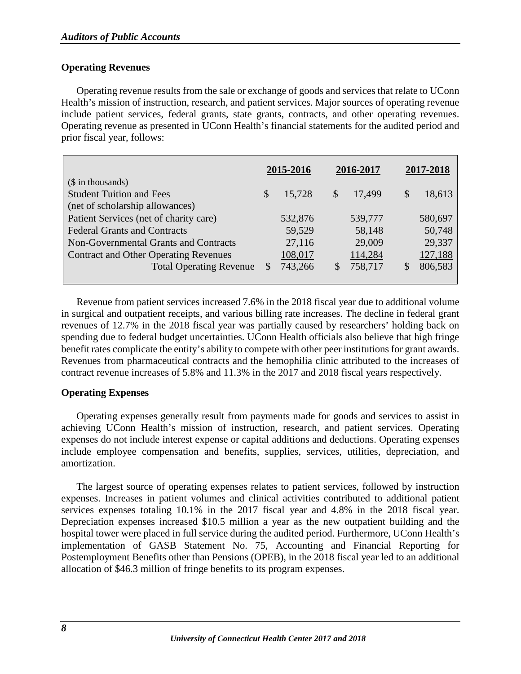#### <span id="page-10-0"></span>**Operating Revenues**

Operating revenue results from the sale or exchange of goods and services that relate to UConn Health's mission of instruction, research, and patient services. Major sources of operating revenue include patient services, federal grants, state grants, contracts, and other operating revenues. Operating revenue as presented in UConn Health's financial statements for the audited period and prior fiscal year, follows:

|                                              |               | 2015-2016 |              | 2016-2017 | 2017-2018 |
|----------------------------------------------|---------------|-----------|--------------|-----------|-----------|
| $($$ in thousands)                           |               |           |              |           |           |
| <b>Student Tuition and Fees</b>              | $\mathcal{S}$ | 15,728    | \$           | 17,499    | 18,613    |
| (net of scholarship allowances)              |               |           |              |           |           |
| Patient Services (net of charity care)       |               | 532,876   |              | 539,777   | 580,697   |
| <b>Federal Grants and Contracts</b>          |               | 59,529    |              | 58,148    | 50,748    |
| Non-Governmental Grants and Contracts        |               | 27,116    |              | 29,009    | 29,337    |
| <b>Contract and Other Operating Revenues</b> |               | 108,017   |              | 114,284   | 127,188   |
| <b>Total Operating Revenue</b>               | <b>S</b>      | 743,266   | $\mathbb{S}$ | 758,717   | 806,583   |
|                                              |               |           |              |           |           |

Revenue from patient services increased 7.6% in the 2018 fiscal year due to additional volume in surgical and outpatient receipts, and various billing rate increases. The decline in federal grant revenues of 12.7% in the 2018 fiscal year was partially caused by researchers' holding back on spending due to federal budget uncertainties. UConn Health officials also believe that high fringe benefit rates complicate the entity's ability to compete with other peer institutions for grant awards. Revenues from pharmaceutical contracts and the hemophilia clinic attributed to the increases of contract revenue increases of 5.8% and 11.3% in the 2017 and 2018 fiscal years respectively.

#### <span id="page-10-1"></span>**Operating Expenses**

Operating expenses generally result from payments made for goods and services to assist in achieving UConn Health's mission of instruction, research, and patient services. Operating expenses do not include interest expense or capital additions and deductions. Operating expenses include employee compensation and benefits, supplies, services, utilities, depreciation, and amortization.

The largest source of operating expenses relates to patient services, followed by instruction expenses. Increases in patient volumes and clinical activities contributed to additional patient services expenses totaling 10.1% in the 2017 fiscal year and 4.8% in the 2018 fiscal year. Depreciation expenses increased \$10.5 million a year as the new outpatient building and the hospital tower were placed in full service during the audited period. Furthermore, UConn Health's implementation of GASB Statement No. 75, Accounting and Financial Reporting for Postemployment Benefits other than Pensions (OPEB), in the 2018 fiscal year led to an additional allocation of \$46.3 million of fringe benefits to its program expenses.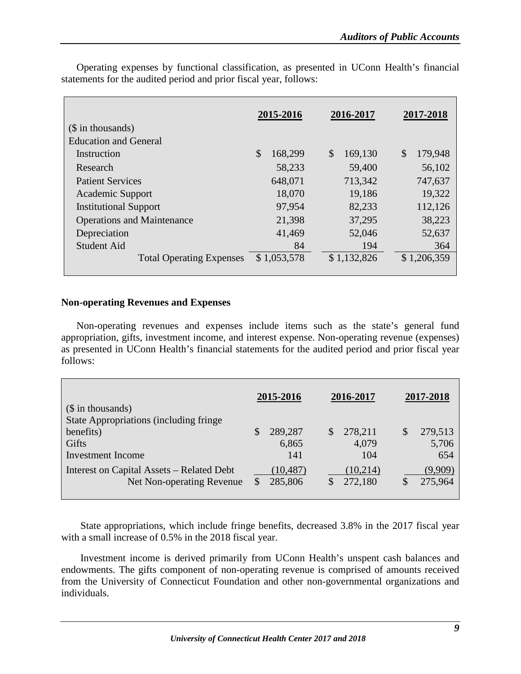|                                   | 2015-2016     | 2016-2017                | 2017-2018     |
|-----------------------------------|---------------|--------------------------|---------------|
| (\$ in thousands)                 |               |                          |               |
| <b>Education and General</b>      |               |                          |               |
| Instruction                       | \$<br>168,299 | $\mathcal{S}$<br>169,130 | \$<br>179,948 |
| Research                          | 58,233        | 59,400                   | 56,102        |
| <b>Patient Services</b>           | 648,071       | 713,342                  | 747,637       |
| <b>Academic Support</b>           | 18,070        | 19,186                   | 19,322        |
| <b>Institutional Support</b>      | 97,954        | 82,233                   | 112,126       |
| <b>Operations and Maintenance</b> | 21,398        | 37,295                   | 38,223        |
| Depreciation                      | 41,469        | 52,046                   | 52,637        |
| <b>Student Aid</b>                | 84            | 194                      | 364           |
| <b>Total Operating Expenses</b>   | \$1,053,578   | \$1,132,826              | \$1,206,359   |
|                                   |               |                          |               |

Operating expenses by functional classification, as presented in UConn Health's financial statements for the audited period and prior fiscal year, follows:

#### <span id="page-11-0"></span>**Non-operating Revenues and Expenses**

Non-operating revenues and expenses include items such as the state's general fund appropriation, gifts, investment income, and interest expense. Non-operating revenue (expenses) as presented in UConn Health's financial statements for the audited period and prior fiscal year follows:

| (\$ in thousands)<br><b>State Appropriations (including fringe)</b>    | 2015-2016               |     | 2016-2017               | 2017-2018                     |
|------------------------------------------------------------------------|-------------------------|-----|-------------------------|-------------------------------|
| benefits)<br>Gifts<br>Investment Income                                | 289,287<br>6,865<br>141 | \$. | 278,211<br>4,079<br>104 | \$<br>279,513<br>5,706<br>654 |
| Interest on Capital Assets – Related Debt<br>Net Non-operating Revenue | (10, 487)<br>285,806    |     | (10,214)<br>272,180     | (9,909)<br>275,964            |

State appropriations, which include fringe benefits, decreased 3.8% in the 2017 fiscal year with a small increase of 0.5% in the 2018 fiscal year.

Investment income is derived primarily from UConn Health's unspent cash balances and endowments. The gifts component of non-operating revenue is comprised of amounts received from the University of Connecticut Foundation and other non-governmental organizations and individuals.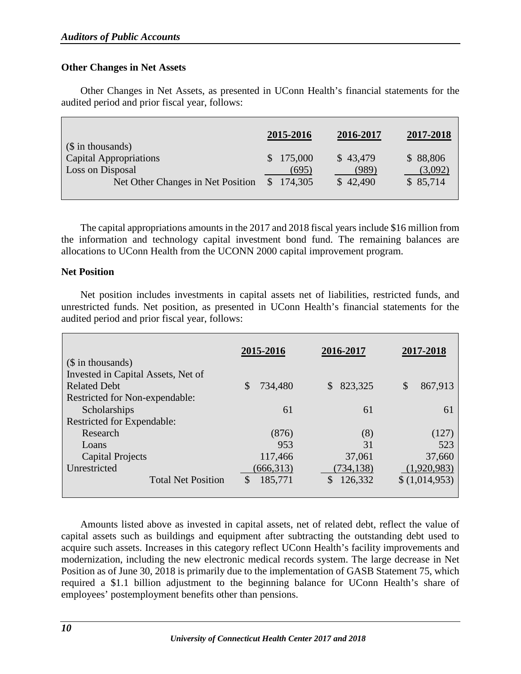#### <span id="page-12-0"></span>**Other Changes in Net Assets**

Other Changes in Net Assets, as presented in UConn Health's financial statements for the audited period and prior fiscal year, follows:

| $\sin$ thousands)                                                               | 2015-2016                                     | 2016-2017                     | 2017-2018                       |
|---------------------------------------------------------------------------------|-----------------------------------------------|-------------------------------|---------------------------------|
| Capital Appropriations<br>Loss on Disposal<br>Net Other Changes in Net Position | \$175,000<br>(695)<br>174,305<br><sup>S</sup> | \$43,479<br>(989)<br>\$42,490 | \$88,806<br>(3,092)<br>\$85,714 |

The capital appropriations amounts in the 2017 and 2018 fiscal years include \$16 million from the information and technology capital investment bond fund. The remaining balances are allocations to UConn Health from the UCONN 2000 capital improvement program.

#### <span id="page-12-1"></span>**Net Position**

Net position includes investments in capital assets net of liabilities, restricted funds, and unrestricted funds. Net position, as presented in UConn Health's financial statements for the audited period and prior fiscal year, follows:

| $($$ in thousands)                 | 2015-2016    | 2016-2017     | 2017-2018     |
|------------------------------------|--------------|---------------|---------------|
| Invested in Capital Assets, Net of |              |               |               |
| <b>Related Debt</b>                | 734,480<br>S | 823,325<br>\$ | \$<br>867,913 |
| Restricted for Non-expendable:     |              |               |               |
| Scholarships                       | 61           | 61            | 61            |
| <b>Restricted for Expendable:</b>  |              |               |               |
| Research                           | (876)        | (8)           | (127)         |
| Loans                              | 953          | 31            | 523           |
| <b>Capital Projects</b>            | 117,466      | 37,061        | 37,660        |
| Unrestricted                       | (666, 313)   | (734, 138)    | (1,920,983)   |
| <b>Total Net Position</b>          | 185,771<br>S | \$<br>126,332 | \$(1,014,953) |
|                                    |              |               |               |

Amounts listed above as invested in capital assets, net of related debt, reflect the value of capital assets such as buildings and equipment after subtracting the outstanding debt used to acquire such assets. Increases in this category reflect UConn Health's facility improvements and modernization, including the new electronic medical records system. The large decrease in Net Position as of June 30, 2018 is primarily due to the implementation of GASB Statement 75, which required a \$1.1 billion adjustment to the beginning balance for UConn Health's share of employees' postemployment benefits other than pensions.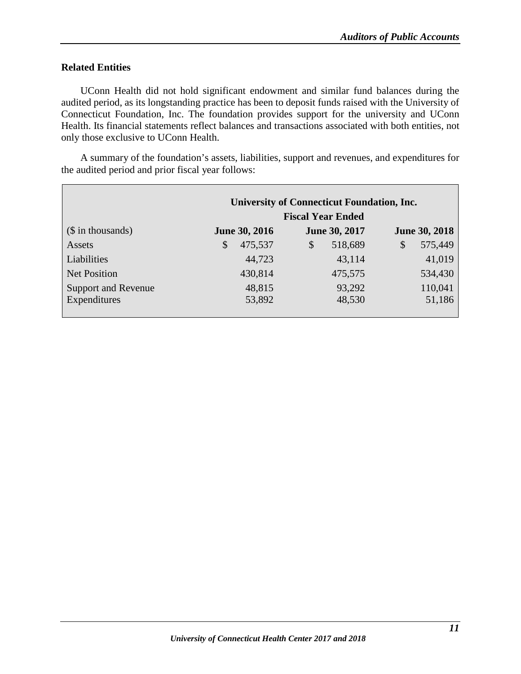#### <span id="page-13-0"></span>**Related Entities**

UConn Health did not hold significant endowment and similar fund balances during the audited period, as its longstanding practice has been to deposit funds raised with the University of Connecticut Foundation, Inc. The foundation provides support for the university and UConn Health. Its financial statements reflect balances and transactions associated with both entities, not only those exclusive to UConn Health.

A summary of the foundation's assets, liabilities, support and revenues, and expenditures for the audited period and prior fiscal year follows:

|                            | <b>University of Connecticut Foundation, Inc.</b> |                          |                      |  |  |  |
|----------------------------|---------------------------------------------------|--------------------------|----------------------|--|--|--|
|                            |                                                   | <b>Fiscal Year Ended</b> |                      |  |  |  |
| $($$ in thousands)         | <b>June 30, 2016</b>                              | <b>June 30, 2017</b>     | <b>June 30, 2018</b> |  |  |  |
| Assets                     | 475,537<br>\$                                     | 518,689<br>$\mathcal{S}$ | 575,449<br>\$        |  |  |  |
| Liabilities                | 44,723                                            | 43,114                   | 41,019               |  |  |  |
| <b>Net Position</b>        | 430,814                                           | 475,575                  | 534,430              |  |  |  |
| <b>Support and Revenue</b> | 48,815                                            | 93,292                   | 110,041              |  |  |  |
| Expenditures               | 53,892                                            | 48,530                   | 51,186               |  |  |  |
|                            |                                                   |                          |                      |  |  |  |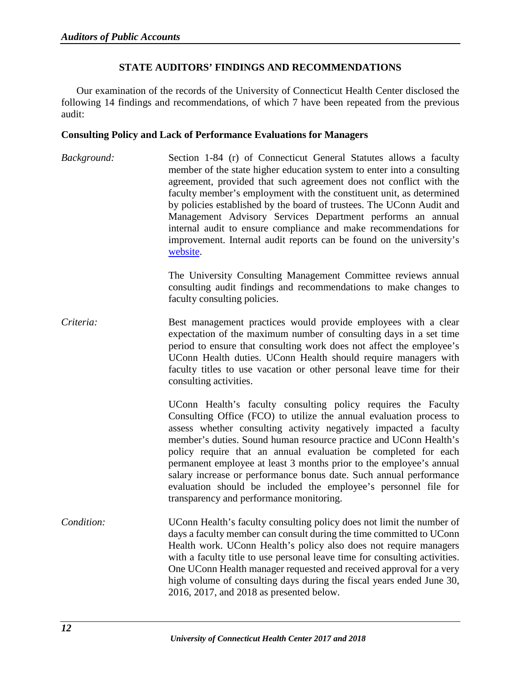#### **STATE AUDITORS' FINDINGS AND RECOMMENDATIONS**

<span id="page-14-0"></span>Our examination of the records of the University of Connecticut Health Center disclosed the following 14 findings and recommendations, of which 7 have been repeated from the previous audit:

#### <span id="page-14-1"></span>**Consulting Policy and Lack of Performance Evaluations for Managers**

*Background:* Section 1-84 (r) of Connecticut General Statutes allows a faculty member of the state higher education system to enter into a consulting agreement, provided that such agreement does not conflict with the faculty member's employment with the constituent unit, as determined by policies established by the board of trustees. The UConn Audit and Management Advisory Services Department performs an annual internal audit to ensure compliance and make recommendations for improvement. Internal audit reports can be found on the university's [website.](https://consulting.uconn.edu/reports-and-audits/)

> The University Consulting Management Committee reviews annual consulting audit findings and recommendations to make changes to faculty consulting policies.

*Criteria:* Best management practices would provide employees with a clear expectation of the maximum number of consulting days in a set time period to ensure that consulting work does not affect the employee's UConn Health duties. UConn Health should require managers with faculty titles to use vacation or other personal leave time for their consulting activities.

> UConn Health's faculty consulting policy requires the Faculty Consulting Office (FCO) to utilize the annual evaluation process to assess whether consulting activity negatively impacted a faculty member's duties. Sound human resource practice and UConn Health's policy require that an annual evaluation be completed for each permanent employee at least 3 months prior to the employee's annual salary increase or performance bonus date. Such annual performance evaluation should be included the employee's personnel file for transparency and performance monitoring.

*Condition:* UConn Health's faculty consulting policy does not limit the number of days a faculty member can consult during the time committed to UConn Health work. UConn Health's policy also does not require managers with a faculty title to use personal leave time for consulting activities. One UConn Health manager requested and received approval for a very high volume of consulting days during the fiscal years ended June 30, 2016, 2017, and 2018 as presented below.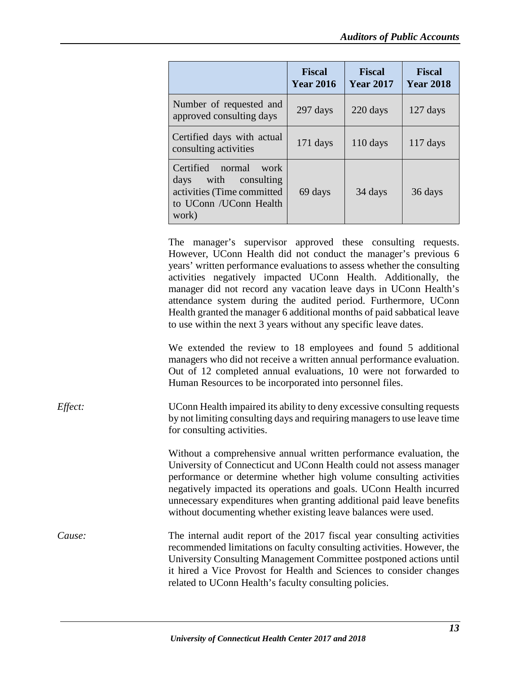|                                                                                                                             | <b>Fiscal</b><br><b>Year 2016</b> | <b>Fiscal</b><br><b>Year 2017</b> | <b>Fiscal</b><br><b>Year 2018</b> |
|-----------------------------------------------------------------------------------------------------------------------------|-----------------------------------|-----------------------------------|-----------------------------------|
| Number of requested and<br>approved consulting days                                                                         | $297$ days                        | 220 days                          | $127$ days                        |
| Certified days with actual<br>consulting activities                                                                         | $171$ days                        | $110 \text{ days}$                | $117$ days                        |
| Certified<br>normal<br>work<br>with<br>consulting<br>days<br>activities (Time committed<br>to UConn / UConn Health<br>work) | 69 days                           | 34 days                           | 36 days                           |

The manager's supervisor approved these consulting requests. However, UConn Health did not conduct the manager's previous 6 years' written performance evaluations to assess whether the consulting activities negatively impacted UConn Health. Additionally, the manager did not record any vacation leave days in UConn Health's attendance system during the audited period. Furthermore, UConn Health granted the manager 6 additional months of paid sabbatical leave to use within the next 3 years without any specific leave dates.

We extended the review to 18 employees and found 5 additional managers who did not receive a written annual performance evaluation. Out of 12 completed annual evaluations, 10 were not forwarded to Human Resources to be incorporated into personnel files.

*Effect:* UConn Health impaired its ability to deny excessive consulting requests by not limiting consulting days and requiring managers to use leave time for consulting activities.

> Without a comprehensive annual written performance evaluation, the University of Connecticut and UConn Health could not assess manager performance or determine whether high volume consulting activities negatively impacted its operations and goals. UConn Health incurred unnecessary expenditures when granting additional paid leave benefits without documenting whether existing leave balances were used.

*Cause:* The internal audit report of the 2017 fiscal year consulting activities recommended limitations on faculty consulting activities. However, the University Consulting Management Committee postponed actions until it hired a Vice Provost for Health and Sciences to consider changes related to UConn Health's faculty consulting policies.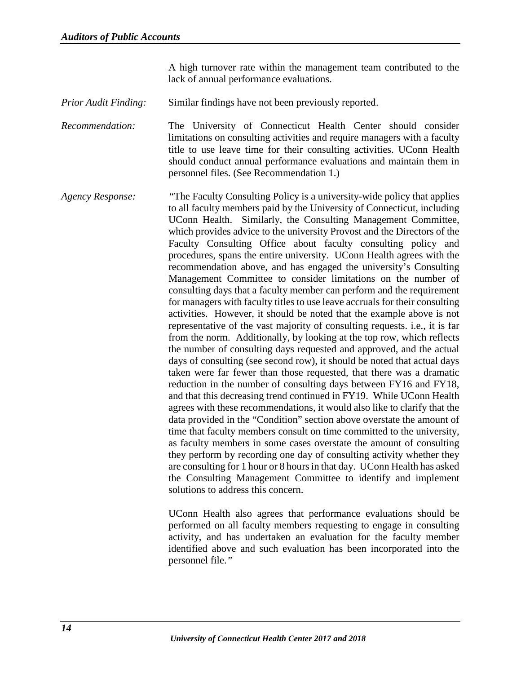A high turnover rate within the management team contributed to the lack of annual performance evaluations.

*Prior Audit Finding:* Similar findings have not been previously reported.

*Recommendation:* The University of Connecticut Health Center should consider limitations on consulting activities and require managers with a faculty title to use leave time for their consulting activities. UConn Health should conduct annual performance evaluations and maintain them in personnel files. (See Recommendation 1.)

*Agency Response: "*The Faculty Consulting Policy is a university-wide policy that applies to all faculty members paid by the University of Connecticut, including UConn Health. Similarly, the Consulting Management Committee, which provides advice to the university Provost and the Directors of the Faculty Consulting Office about faculty consulting policy and procedures, spans the entire university. UConn Health agrees with the recommendation above, and has engaged the university's Consulting Management Committee to consider limitations on the number of consulting days that a faculty member can perform and the requirement for managers with faculty titles to use leave accruals for their consulting activities. However, it should be noted that the example above is not representative of the vast majority of consulting requests. i.e., it is far from the norm. Additionally, by looking at the top row, which reflects the number of consulting days requested and approved, and the actual days of consulting (see second row), it should be noted that actual days taken were far fewer than those requested, that there was a dramatic reduction in the number of consulting days between FY16 and FY18, and that this decreasing trend continued in FY19. While UConn Health agrees with these recommendations, it would also like to clarify that the data provided in the "Condition" section above overstate the amount of time that faculty members consult on time committed to the university, as faculty members in some cases overstate the amount of consulting they perform by recording one day of consulting activity whether they are consulting for 1 hour or 8 hours in that day. UConn Health has asked the Consulting Management Committee to identify and implement solutions to address this concern.

> UConn Health also agrees that performance evaluations should be performed on all faculty members requesting to engage in consulting activity, and has undertaken an evaluation for the faculty member identified above and such evaluation has been incorporated into the personnel file.*"*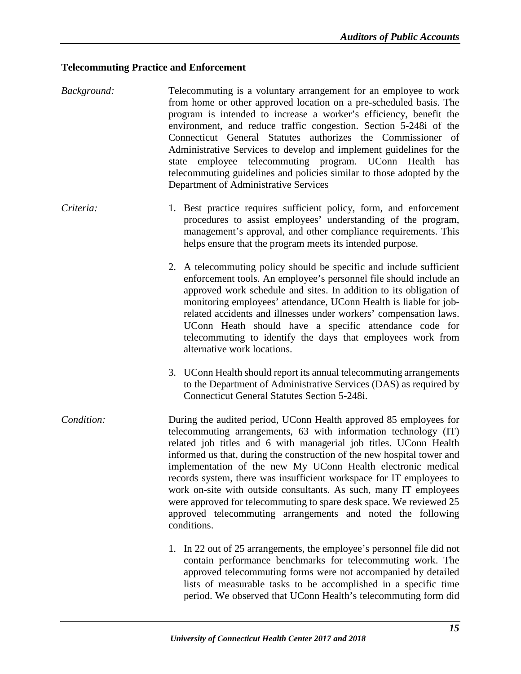#### <span id="page-17-0"></span>**Telecommuting Practice and Enforcement**

- *Background:* Telecommuting is a voluntary arrangement for an employee to work from home or other approved location on a pre-scheduled basis. The program is intended to increase a worker's efficiency, benefit the environment, and reduce traffic congestion. Section 5-248i of the Connecticut General Statutes authorizes the Commissioner of Administrative Services to develop and implement guidelines for the state employee telecommuting program. UConn Health has telecommuting guidelines and policies similar to those adopted by the Department of Administrative Services
- *Criteria:* 1. Best practice requires sufficient policy, form, and enforcement procedures to assist employees' understanding of the program, management's approval, and other compliance requirements. This helps ensure that the program meets its intended purpose.
	- 2. A telecommuting policy should be specific and include sufficient enforcement tools. An employee's personnel file should include an approved work schedule and sites. In addition to its obligation of monitoring employees' attendance, UConn Health is liable for jobrelated accidents and illnesses under workers' compensation laws. UConn Heath should have a specific attendance code for telecommuting to identify the days that employees work from alternative work locations.
	- 3. UConn Health should report its annual telecommuting arrangements to the Department of Administrative Services (DAS) as required by Connecticut General Statutes Section 5-248i.
- *Condition:* During the audited period, UConn Health approved 85 employees for telecommuting arrangements, 63 with information technology (IT) related job titles and 6 with managerial job titles. UConn Health informed us that, during the construction of the new hospital tower and implementation of the new My UConn Health electronic medical records system, there was insufficient workspace for IT employees to work on-site with outside consultants. As such, many IT employees were approved for telecommuting to spare desk space. We reviewed 25 approved telecommuting arrangements and noted the following conditions.
	- 1. In 22 out of 25 arrangements, the employee's personnel file did not contain performance benchmarks for telecommuting work. The approved telecommuting forms were not accompanied by detailed lists of measurable tasks to be accomplished in a specific time period. We observed that UConn Health's telecommuting form did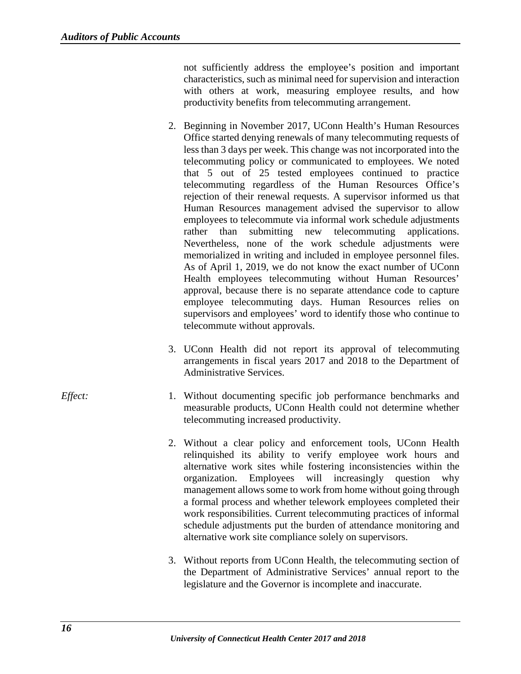not sufficiently address the employee's position and important characteristics, such as minimal need for supervision and interaction with others at work, measuring employee results, and how productivity benefits from telecommuting arrangement.

- 2. Beginning in November 2017, UConn Health's Human Resources Office started denying renewals of many telecommuting requests of less than 3 days per week. This change was not incorporated into the telecommuting policy or communicated to employees. We noted that 5 out of 25 tested employees continued to practice telecommuting regardless of the Human Resources Office's rejection of their renewal requests. A supervisor informed us that Human Resources management advised the supervisor to allow employees to telecommute via informal work schedule adjustments rather than submitting new telecommuting applications. Nevertheless, none of the work schedule adjustments were memorialized in writing and included in employee personnel files. As of April 1, 2019, we do not know the exact number of UConn Health employees telecommuting without Human Resources' approval, because there is no separate attendance code to capture employee telecommuting days. Human Resources relies on supervisors and employees' word to identify those who continue to telecommute without approvals.
- 3. UConn Health did not report its approval of telecommuting arrangements in fiscal years 2017 and 2018 to the Department of Administrative Services.
- *Effect:* 1. Without documenting specific job performance benchmarks and measurable products, UConn Health could not determine whether telecommuting increased productivity.
	- 2. Without a clear policy and enforcement tools, UConn Health relinquished its ability to verify employee work hours and alternative work sites while fostering inconsistencies within the organization. Employees will increasingly question why management allows some to work from home without going through a formal process and whether telework employees completed their work responsibilities. Current telecommuting practices of informal schedule adjustments put the burden of attendance monitoring and alternative work site compliance solely on supervisors.
	- 3. Without reports from UConn Health, the telecommuting section of the Department of Administrative Services' annual report to the legislature and the Governor is incomplete and inaccurate.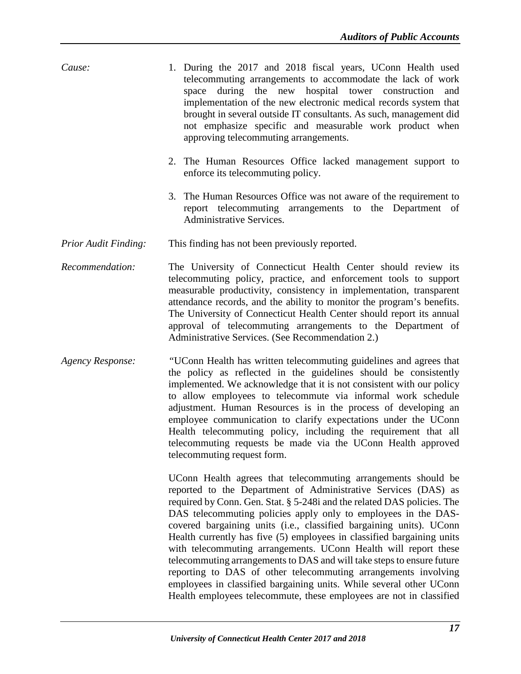- *Cause:* 1. During the 2017 and 2018 fiscal years, UConn Health used telecommuting arrangements to accommodate the lack of work space during the new hospital tower construction and implementation of the new electronic medical records system that brought in several outside IT consultants. As such, management did not emphasize specific and measurable work product when approving telecommuting arrangements.
	- 2. The Human Resources Office lacked management support to enforce its telecommuting policy.
	- 3. The Human Resources Office was not aware of the requirement to report telecommuting arrangements to the Department of Administrative Services.
- *Prior Audit Finding:* This finding has not been previously reported.
- *Recommendation:* The University of Connecticut Health Center should review its telecommuting policy, practice, and enforcement tools to support measurable productivity, consistency in implementation, transparent attendance records, and the ability to monitor the program's benefits. The University of Connecticut Health Center should report its annual approval of telecommuting arrangements to the Department of Administrative Services. (See Recommendation 2.)
- *Agency Response: "*UConn Health has written telecommuting guidelines and agrees that the policy as reflected in the guidelines should be consistently implemented. We acknowledge that it is not consistent with our policy to allow employees to telecommute via informal work schedule adjustment. Human Resources is in the process of developing an employee communication to clarify expectations under the UConn Health telecommuting policy, including the requirement that all telecommuting requests be made via the UConn Health approved telecommuting request form.

UConn Health agrees that telecommuting arrangements should be reported to the Department of Administrative Services (DAS) as required by Conn. Gen. Stat. § 5-248i and the related DAS policies. The DAS telecommuting policies apply only to employees in the DAScovered bargaining units (i.e., classified bargaining units). UConn Health currently has five (5) employees in classified bargaining units with telecommuting arrangements. UConn Health will report these telecommuting arrangements to DAS and will take steps to ensure future reporting to DAS of other telecommuting arrangements involving employees in classified bargaining units. While several other UConn Health employees telecommute, these employees are not in classified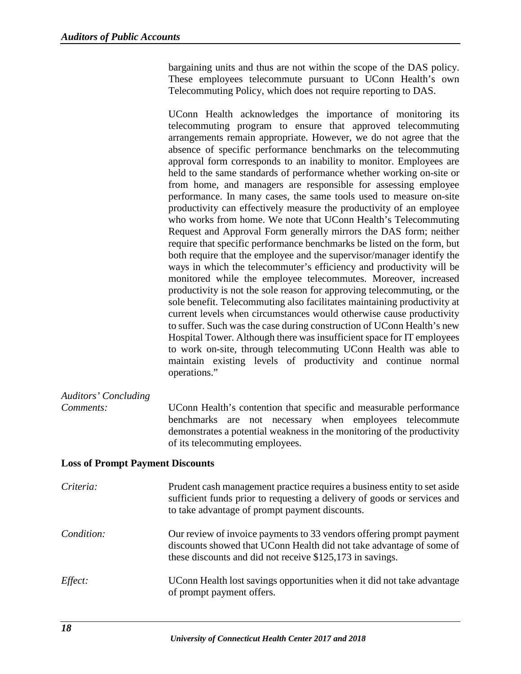bargaining units and thus are not within the scope of the DAS policy. These employees telecommute pursuant to UConn Health's own Telecommuting Policy, which does not require reporting to DAS.

UConn Health acknowledges the importance of monitoring its telecommuting program to ensure that approved telecommuting arrangements remain appropriate. However, we do not agree that the absence of specific performance benchmarks on the telecommuting approval form corresponds to an inability to monitor. Employees are held to the same standards of performance whether working on-site or from home, and managers are responsible for assessing employee performance. In many cases, the same tools used to measure on-site productivity can effectively measure the productivity of an employee who works from home. We note that UConn Health's Telecommuting Request and Approval Form generally mirrors the DAS form; neither require that specific performance benchmarks be listed on the form, but both require that the employee and the supervisor/manager identify the ways in which the telecommuter's efficiency and productivity will be monitored while the employee telecommutes. Moreover, increased productivity is not the sole reason for approving telecommuting, or the sole benefit. Telecommuting also facilitates maintaining productivity at current levels when circumstances would otherwise cause productivity to suffer. Such was the case during construction of UConn Health's new Hospital Tower. Although there was insufficient space for IT employees to work on-site, through telecommuting UConn Health was able to maintain existing levels of productivity and continue normal operations."

# *Auditors' Concluding*

*Comments:* UConn Health's contention that specific and measurable performance benchmarks are not necessary when employees telecommute demonstrates a potential weakness in the monitoring of the productivity of its telecommuting employees.

#### <span id="page-20-0"></span>**Loss of Prompt Payment Discounts**

| Criteria:      | Prudent cash management practice requires a business entity to set aside<br>sufficient funds prior to requesting a delivery of goods or services and<br>to take advantage of prompt payment discounts.    |
|----------------|-----------------------------------------------------------------------------------------------------------------------------------------------------------------------------------------------------------|
| Condition:     | Our review of invoice payments to 33 vendors offering prompt payment<br>discounts showed that UConn Health did not take advantage of some of<br>these discounts and did not receive \$125,173 in savings. |
| <i>Effect:</i> | UConn Health lost savings opportunities when it did not take advantage<br>of prompt payment offers.                                                                                                       |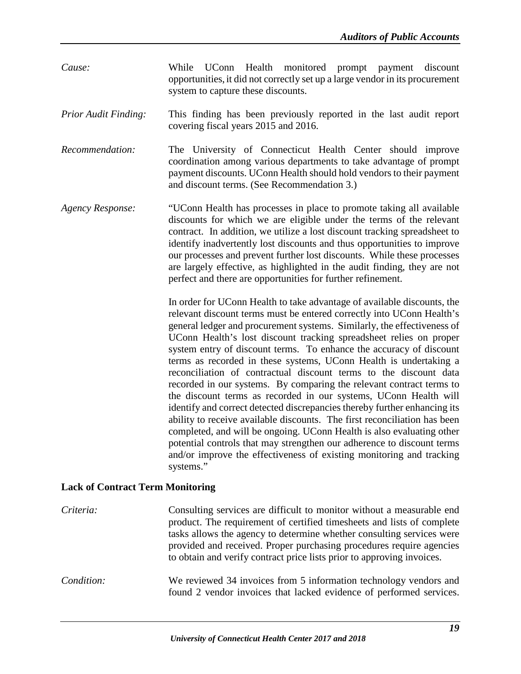- *Cause:* While UConn Health monitored prompt payment discount opportunities, it did not correctly set up a large vendor in its procurement system to capture these discounts.
- *Prior Audit Finding:* This finding has been previously reported in the last audit report covering fiscal years 2015 and 2016.
- *Recommendation:* The University of Connecticut Health Center should improve coordination among various departments to take advantage of prompt payment discounts. UConn Health should hold vendors to their payment and discount terms. (See Recommendation 3.)
- *Agency Response:* "UConn Health has processes in place to promote taking all available discounts for which we are eligible under the terms of the relevant contract. In addition, we utilize a lost discount tracking spreadsheet to identify inadvertently lost discounts and thus opportunities to improve our processes and prevent further lost discounts. While these processes are largely effective, as highlighted in the audit finding, they are not perfect and there are opportunities for further refinement.

In order for UConn Health to take advantage of available discounts, the relevant discount terms must be entered correctly into UConn Health's general ledger and procurement systems. Similarly, the effectiveness of UConn Health's lost discount tracking spreadsheet relies on proper system entry of discount terms. To enhance the accuracy of discount terms as recorded in these systems, UConn Health is undertaking a reconciliation of contractual discount terms to the discount data recorded in our systems. By comparing the relevant contract terms to the discount terms as recorded in our systems, UConn Health will identify and correct detected discrepancies thereby further enhancing its ability to receive available discounts. The first reconciliation has been completed, and will be ongoing. UConn Health is also evaluating other potential controls that may strengthen our adherence to discount terms and/or improve the effectiveness of existing monitoring and tracking systems."

#### <span id="page-21-0"></span>**Lack of Contract Term Monitoring**

*Criteria:* Consulting services are difficult to monitor without a measurable end product. The requirement of certified timesheets and lists of complete tasks allows the agency to determine whether consulting services were provided and received. Proper purchasing procedures require agencies to obtain and verify contract price lists prior to approving invoices. *Condition:* We reviewed 34 invoices from 5 information technology vendors and found 2 vendor invoices that lacked evidence of performed services.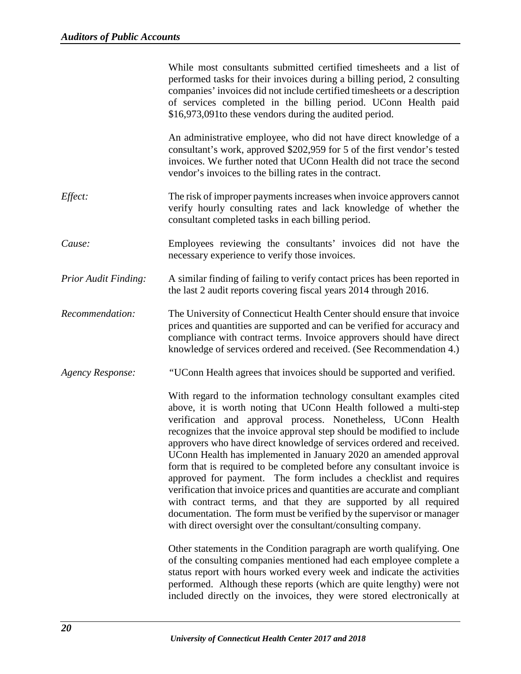|                             | While most consultants submitted certified timesheets and a list of<br>performed tasks for their invoices during a billing period, 2 consulting<br>companies' invoices did not include certified timesheets or a description<br>of services completed in the billing period. UConn Health paid<br>\$16,973,091 to these vendors during the audited period.                                                                                                                                                                                                                                                                                                                                                                                                                                                                                                                 |
|-----------------------------|----------------------------------------------------------------------------------------------------------------------------------------------------------------------------------------------------------------------------------------------------------------------------------------------------------------------------------------------------------------------------------------------------------------------------------------------------------------------------------------------------------------------------------------------------------------------------------------------------------------------------------------------------------------------------------------------------------------------------------------------------------------------------------------------------------------------------------------------------------------------------|
|                             | An administrative employee, who did not have direct knowledge of a<br>consultant's work, approved \$202,959 for 5 of the first vendor's tested<br>invoices. We further noted that UConn Health did not trace the second<br>vendor's invoices to the billing rates in the contract.                                                                                                                                                                                                                                                                                                                                                                                                                                                                                                                                                                                         |
| Effect:                     | The risk of improper payments increases when invoice approvers cannot<br>verify hourly consulting rates and lack knowledge of whether the<br>consultant completed tasks in each billing period.                                                                                                                                                                                                                                                                                                                                                                                                                                                                                                                                                                                                                                                                            |
| Cause:                      | Employees reviewing the consultants' invoices did not have the<br>necessary experience to verify those invoices.                                                                                                                                                                                                                                                                                                                                                                                                                                                                                                                                                                                                                                                                                                                                                           |
| <b>Prior Audit Finding:</b> | A similar finding of failing to verify contact prices has been reported in<br>the last 2 audit reports covering fiscal years 2014 through 2016.                                                                                                                                                                                                                                                                                                                                                                                                                                                                                                                                                                                                                                                                                                                            |
| Recommendation:             | The University of Connecticut Health Center should ensure that invoice<br>prices and quantities are supported and can be verified for accuracy and<br>compliance with contract terms. Invoice approvers should have direct<br>knowledge of services ordered and received. (See Recommendation 4.)                                                                                                                                                                                                                                                                                                                                                                                                                                                                                                                                                                          |
| <b>Agency Response:</b>     | "UConn Health agrees that invoices should be supported and verified.                                                                                                                                                                                                                                                                                                                                                                                                                                                                                                                                                                                                                                                                                                                                                                                                       |
|                             | With regard to the information technology consultant examples cited<br>above, it is worth noting that UConn Health followed a multi-step<br>verification and approval process. Nonetheless, UConn Health<br>recognizes that the invoice approval step should be modified to include<br>approvers who have direct knowledge of services ordered and received.<br>UConn Health has implemented in January 2020 an amended approval<br>form that is required to be completed before any consultant invoice is<br>approved for payment. The form includes a checklist and requires<br>verification that invoice prices and quantities are accurate and compliant<br>with contract terms, and that they are supported by all required<br>documentation. The form must be verified by the supervisor or manager<br>with direct oversight over the consultant/consulting company. |
|                             | Other statements in the Condition paragraph are worth qualifying. One<br>of the consulting companies mentioned had each employee complete a<br>status report with hours worked every week and indicate the activities<br>performed. Although these reports (which are quite lengthy) were not<br>included directly on the invoices, they were stored electronically at                                                                                                                                                                                                                                                                                                                                                                                                                                                                                                     |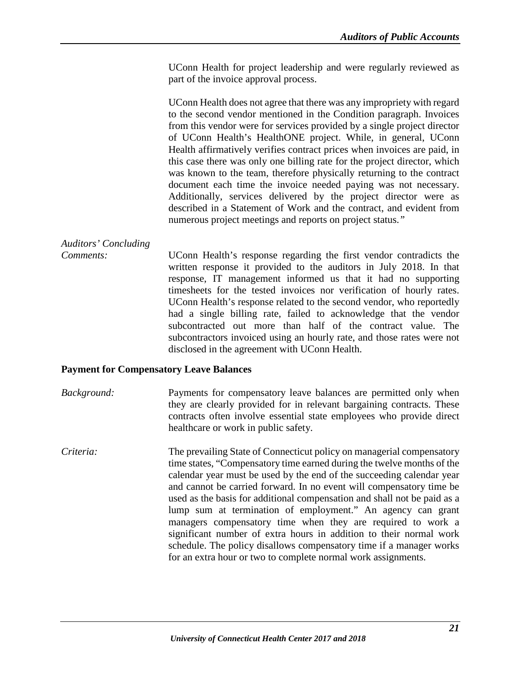UConn Health for project leadership and were regularly reviewed as part of the invoice approval process.

UConn Health does not agree that there was any impropriety with regard to the second vendor mentioned in the Condition paragraph. Invoices from this vendor were for services provided by a single project director of UConn Health's HealthONE project. While, in general, UConn Health affirmatively verifies contract prices when invoices are paid, in this case there was only one billing rate for the project director, which was known to the team, therefore physically returning to the contract document each time the invoice needed paying was not necessary. Additionally, services delivered by the project director were as described in a Statement of Work and the contract, and evident from numerous project meetings and reports on project status.*"*

*Auditors' Concluding*

*Comments:* UConn Health's response regarding the first vendor contradicts the written response it provided to the auditors in July 2018. In that response, IT management informed us that it had no supporting timesheets for the tested invoices nor verification of hourly rates. UConn Health's response related to the second vendor, who reportedly had a single billing rate, failed to acknowledge that the vendor subcontracted out more than half of the contract value. The subcontractors invoiced using an hourly rate, and those rates were not disclosed in the agreement with UConn Health.

#### <span id="page-23-0"></span>**Payment for Compensatory Leave Balances**

*Background:* Payments for compensatory leave balances are permitted only when they are clearly provided for in relevant bargaining contracts. These contracts often involve essential state employees who provide direct healthcare or work in public safety.

*Criteria:* The prevailing State of Connecticut policy on managerial compensatory time states, "Compensatory time earned during the twelve months of the calendar year must be used by the end of the succeeding calendar year and cannot be carried forward. In no event will compensatory time be used as the basis for additional compensation and shall not be paid as a lump sum at termination of employment." An agency can grant managers compensatory time when they are required to work a significant number of extra hours in addition to their normal work schedule. The policy disallows compensatory time if a manager works for an extra hour or two to complete normal work assignments.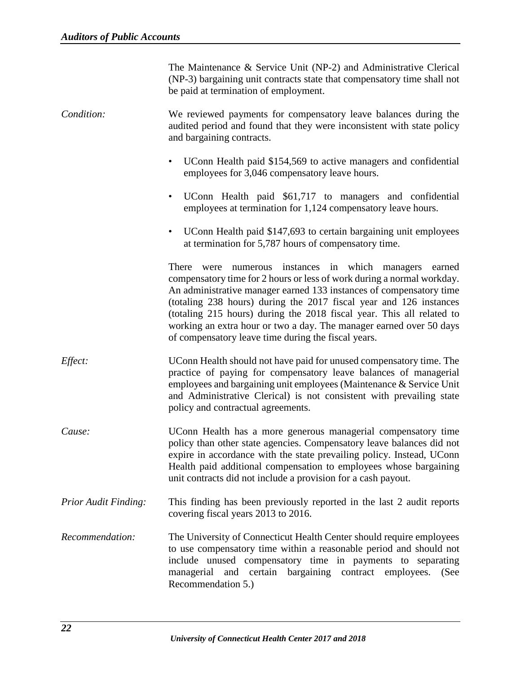| The Maintenance & Service Unit (NP-2) and Administrative Clerical       |
|-------------------------------------------------------------------------|
| (NP-3) bargaining unit contracts state that compensatory time shall not |
| be paid at termination of employment.                                   |

*Condition:* We reviewed payments for compensatory leave balances during the audited period and found that they were inconsistent with state policy and bargaining contracts.

- UConn Health paid \$154,569 to active managers and confidential employees for 3,046 compensatory leave hours.
- UConn Health paid \$61,717 to managers and confidential employees at termination for 1,124 compensatory leave hours.
- UConn Health paid \$147,693 to certain bargaining unit employees at termination for 5,787 hours of compensatory time.

There were numerous instances in which managers earned compensatory time for 2 hours or less of work during a normal workday. An administrative manager earned 133 instances of compensatory time (totaling 238 hours) during the 2017 fiscal year and 126 instances (totaling 215 hours) during the 2018 fiscal year. This all related to working an extra hour or two a day. The manager earned over 50 days of compensatory leave time during the fiscal years.

- *Effect:* UConn Health should not have paid for unused compensatory time. The practice of paying for compensatory leave balances of managerial employees and bargaining unit employees (Maintenance & Service Unit and Administrative Clerical) is not consistent with prevailing state policy and contractual agreements.
- *Cause:* UConn Health has a more generous managerial compensatory time policy than other state agencies. Compensatory leave balances did not expire in accordance with the state prevailing policy. Instead, UConn Health paid additional compensation to employees whose bargaining unit contracts did not include a provision for a cash payout.
- *Prior Audit Finding:* This finding has been previously reported in the last 2 audit reports covering fiscal years 2013 to 2016.
- *Recommendation:* The University of Connecticut Health Center should require employees to use compensatory time within a reasonable period and should not include unused compensatory time in payments to separating managerial and certain bargaining contract employees. (See Recommendation 5.)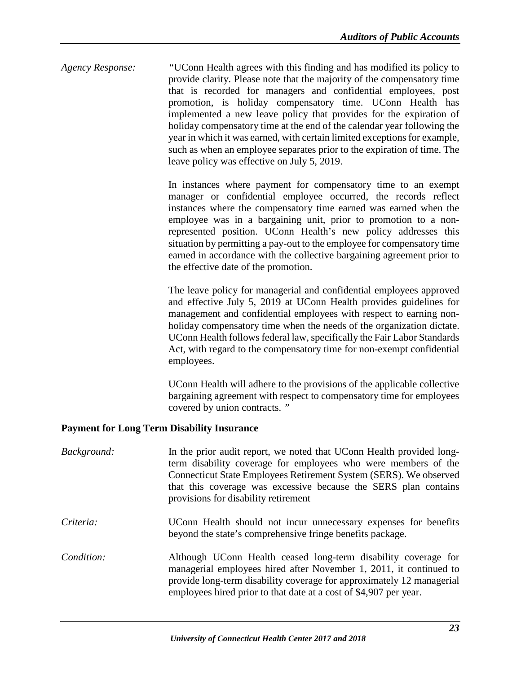*Agency Response: "*UConn Health agrees with this finding and has modified its policy to provide clarity. Please note that the majority of the compensatory time that is recorded for managers and confidential employees, post promotion, is holiday compensatory time. UConn Health has implemented a new leave policy that provides for the expiration of holiday compensatory time at the end of the calendar year following the year in which it was earned, with certain limited exceptions for example, such as when an employee separates prior to the expiration of time. The leave policy was effective on July 5, 2019.

> In instances where payment for compensatory time to an exempt manager or confidential employee occurred, the records reflect instances where the compensatory time earned was earned when the employee was in a bargaining unit, prior to promotion to a nonrepresented position. UConn Health's new policy addresses this situation by permitting a pay-out to the employee for compensatory time earned in accordance with the collective bargaining agreement prior to the effective date of the promotion.

> The leave policy for managerial and confidential employees approved and effective July 5, 2019 at UConn Health provides guidelines for management and confidential employees with respect to earning nonholiday compensatory time when the needs of the organization dictate. UConn Health follows federal law, specifically the Fair Labor Standards Act, with regard to the compensatory time for non-exempt confidential employees.

> UConn Health will adhere to the provisions of the applicable collective bargaining agreement with respect to compensatory time for employees covered by union contracts. *"*

#### <span id="page-25-0"></span>**Payment for Long Term Disability Insurance**

| Background: | In the prior audit report, we noted that UConn Health provided long-<br>term disability coverage for employees who were members of the<br>Connecticut State Employees Retirement System (SERS). We observed<br>that this coverage was excessive because the SERS plan contains<br>provisions for disability retirement |
|-------------|------------------------------------------------------------------------------------------------------------------------------------------------------------------------------------------------------------------------------------------------------------------------------------------------------------------------|
| Criteria:   | UConn Health should not incur unnecessary expenses for benefits<br>beyond the state's comprehensive fringe benefits package.                                                                                                                                                                                           |
| Condition:  | Although UConn Health ceased long-term disability coverage for<br>managerial employees hired after November 1, 2011, it continued to<br>provide long-term disability coverage for approximately 12 managerial<br>employees hired prior to that date at a cost of \$4,907 per year.                                     |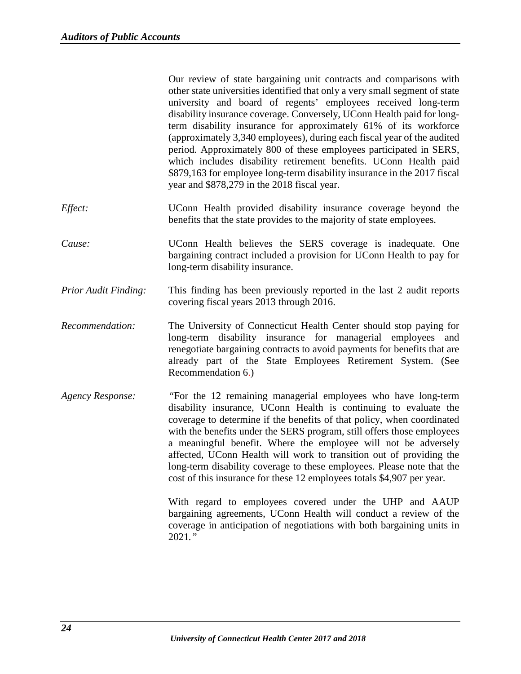|                                    | Our review of state bargaining unit contracts and comparisons with<br>other state universities identified that only a very small segment of state<br>university and board of regents' employees received long-term<br>disability insurance coverage. Conversely, UConn Health paid for long-<br>term disability insurance for approximately 61% of its workforce<br>(approximately 3,340 employees), during each fiscal year of the audited<br>period. Approximately 800 of these employees participated in SERS,<br>which includes disability retirement benefits. UConn Health paid<br>\$879,163 for employee long-term disability insurance in the 2017 fiscal<br>year and \$878,279 in the 2018 fiscal year. |
|------------------------------------|------------------------------------------------------------------------------------------------------------------------------------------------------------------------------------------------------------------------------------------------------------------------------------------------------------------------------------------------------------------------------------------------------------------------------------------------------------------------------------------------------------------------------------------------------------------------------------------------------------------------------------------------------------------------------------------------------------------|
| $Eff_{\rho \mathcal{C}}$ t $\cdot$ | UConn Health provided disability insurance coverage beyond the                                                                                                                                                                                                                                                                                                                                                                                                                                                                                                                                                                                                                                                   |

- *Effect:* UConn Health provided disability insurance coverage beyond the benefits that the state provides to the majority of state employees.
- *Cause:* UConn Health believes the SERS coverage is inadequate. One bargaining contract included a provision for UConn Health to pay for long-term disability insurance.
- *Prior Audit Finding:* This finding has been previously reported in the last 2 audit reports covering fiscal years 2013 through 2016.
- *Recommendation:* The University of Connecticut Health Center should stop paying for long-term disability insurance for managerial employees and renegotiate bargaining contracts to avoid payments for benefits that are already part of the State Employees Retirement System. (See Recommendation 6.)
- *Agency Response: "*For the 12 remaining managerial employees who have long-term disability insurance, UConn Health is continuing to evaluate the coverage to determine if the benefits of that policy, when coordinated with the benefits under the SERS program, still offers those employees a meaningful benefit. Where the employee will not be adversely affected, UConn Health will work to transition out of providing the long-term disability coverage to these employees. Please note that the cost of this insurance for these 12 employees totals \$4,907 per year.

With regard to employees covered under the UHP and AAUP bargaining agreements, UConn Health will conduct a review of the coverage in anticipation of negotiations with both bargaining units in 2021*."*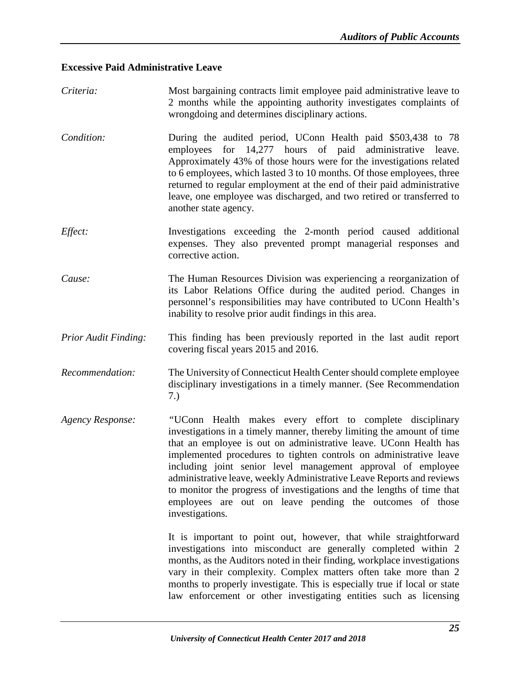#### <span id="page-27-0"></span>**Excessive Paid Administrative Leave**

*Criteria:* Most bargaining contracts limit employee paid administrative leave to 2 months while the appointing authority investigates complaints of wrongdoing and determines disciplinary actions. *Condition:* During the audited period, UConn Health paid \$503,438 to 78 employees for 14,277 hours of paid administrative leave. Approximately 43% of those hours were for the investigations related to 6 employees, which lasted 3 to 10 months. Of those employees, three returned to regular employment at the end of their paid administrative leave, one employee was discharged, and two retired or transferred to another state agency. *Effect:* Investigations exceeding the 2-month period caused additional expenses. They also prevented prompt managerial responses and corrective action. *Cause:* The Human Resources Division was experiencing a reorganization of its Labor Relations Office during the audited period. Changes in personnel's responsibilities may have contributed to UConn Health's inability to resolve prior audit findings in this area. *Prior Audit Finding:* This finding has been previously reported in the last audit report covering fiscal years 2015 and 2016. *Recommendation:* The University of Connecticut Health Centershould complete employee disciplinary investigations in a timely manner. (See Recommendation 7.) *Agency Response: "*UConn Health makes every effort to complete disciplinary investigations in a timely manner, thereby limiting the amount of time that an employee is out on administrative leave. UConn Health has implemented procedures to tighten controls on administrative leave including joint senior level management approval of employee administrative leave, weekly Administrative Leave Reports and reviews to monitor the progress of investigations and the lengths of time that employees are out on leave pending the outcomes of those investigations. It is important to point out, however, that while straightforward investigations into misconduct are generally completed within 2 months, as the Auditors noted in their finding, workplace investigations vary in their complexity. Complex matters often take more than 2 months to properly investigate. This is especially true if local or state law enforcement or other investigating entities such as licensing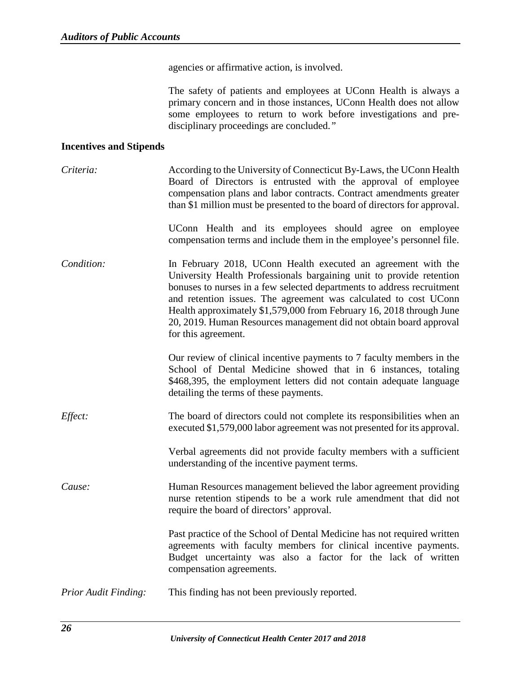agencies or affirmative action, is involved.

The safety of patients and employees at UConn Health is always a primary concern and in those instances, UConn Health does not allow some employees to return to work before investigations and predisciplinary proceedings are concluded.*"*

#### <span id="page-28-0"></span>**Incentives and Stipends**

| Criteria:                   | According to the University of Connecticut By-Laws, the UConn Health<br>Board of Directors is entrusted with the approval of employee<br>compensation plans and labor contracts. Contract amendments greater<br>than \$1 million must be presented to the board of directors for approval.                                                                                                                                                               |
|-----------------------------|----------------------------------------------------------------------------------------------------------------------------------------------------------------------------------------------------------------------------------------------------------------------------------------------------------------------------------------------------------------------------------------------------------------------------------------------------------|
|                             | UConn Health and its employees should agree on employee<br>compensation terms and include them in the employee's personnel file.                                                                                                                                                                                                                                                                                                                         |
| Condition:                  | In February 2018, UConn Health executed an agreement with the<br>University Health Professionals bargaining unit to provide retention<br>bonuses to nurses in a few selected departments to address recruitment<br>and retention issues. The agreement was calculated to cost UConn<br>Health approximately \$1,579,000 from February 16, 2018 through June<br>20, 2019. Human Resources management did not obtain board approval<br>for this agreement. |
|                             | Our review of clinical incentive payments to 7 faculty members in the<br>School of Dental Medicine showed that in 6 instances, totaling<br>\$468,395, the employment letters did not contain adequate language<br>detailing the terms of these payments.                                                                                                                                                                                                 |
| Effect:                     | The board of directors could not complete its responsibilities when an<br>executed \$1,579,000 labor agreement was not presented for its approval.                                                                                                                                                                                                                                                                                                       |
|                             | Verbal agreements did not provide faculty members with a sufficient<br>understanding of the incentive payment terms.                                                                                                                                                                                                                                                                                                                                     |
| Cause:                      | Human Resources management believed the labor agreement providing<br>nurse retention stipends to be a work rule amendment that did not<br>require the board of directors' approval.                                                                                                                                                                                                                                                                      |
|                             | Past practice of the School of Dental Medicine has not required written<br>agreements with faculty members for clinical incentive payments.<br>Budget uncertainty was also a factor for the lack of written<br>compensation agreements.                                                                                                                                                                                                                  |
| <b>Prior Audit Finding:</b> | This finding has not been previously reported.                                                                                                                                                                                                                                                                                                                                                                                                           |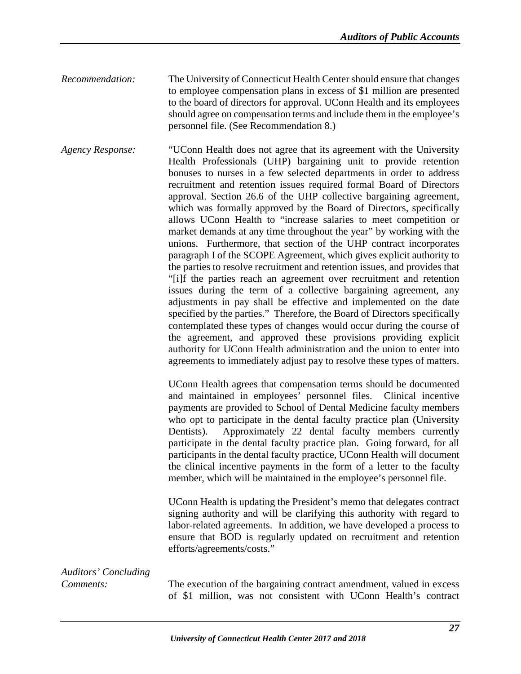*Recommendation:* The University of Connecticut Health Center should ensure that changes to employee compensation plans in excess of \$1 million are presented to the board of directors for approval. UConn Health and its employees should agree on compensation terms and include them in the employee's personnel file. (See Recommendation 8.)

*Agency Response:* "UConn Health does not agree that its agreement with the University Health Professionals (UHP) bargaining unit to provide retention bonuses to nurses in a few selected departments in order to address recruitment and retention issues required formal Board of Directors approval. Section 26.6 of the UHP collective bargaining agreement, which was formally approved by the Board of Directors, specifically allows UConn Health to "increase salaries to meet competition or market demands at any time throughout the year" by working with the unions. Furthermore, that section of the UHP contract incorporates paragraph I of the SCOPE Agreement, which gives explicit authority to the parties to resolve recruitment and retention issues, and provides that "[i]f the parties reach an agreement over recruitment and retention issues during the term of a collective bargaining agreement, any adjustments in pay shall be effective and implemented on the date specified by the parties." Therefore, the Board of Directors specifically contemplated these types of changes would occur during the course of the agreement, and approved these provisions providing explicit authority for UConn Health administration and the union to enter into agreements to immediately adjust pay to resolve these types of matters.

> UConn Health agrees that compensation terms should be documented and maintained in employees' personnel files. Clinical incentive payments are provided to School of Dental Medicine faculty members who opt to participate in the dental faculty practice plan (University Dentists). Approximately 22 dental faculty members currently participate in the dental faculty practice plan. Going forward, for all participants in the dental faculty practice, UConn Health will document the clinical incentive payments in the form of a letter to the faculty member, which will be maintained in the employee's personnel file.

> UConn Health is updating the President's memo that delegates contract signing authority and will be clarifying this authority with regard to labor-related agreements. In addition, we have developed a process to ensure that BOD is regularly updated on recruitment and retention efforts/agreements/costs."

### *Auditors' Concluding*

*Comments:* The execution of the bargaining contract amendment, valued in excess of \$1 million, was not consistent with UConn Health's contract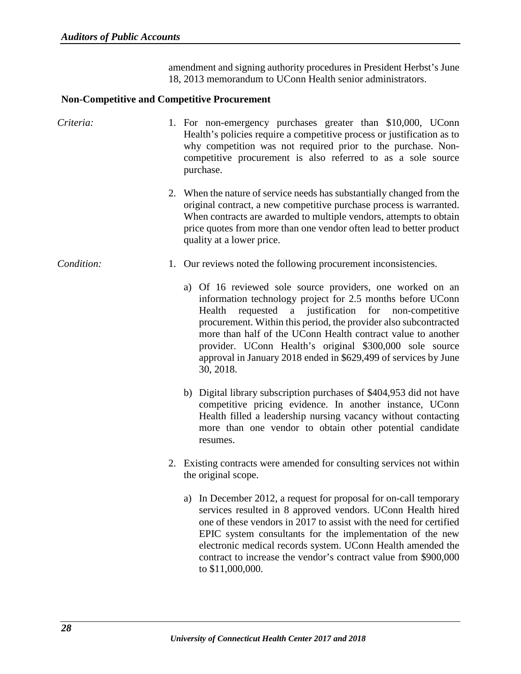amendment and signing authority procedures in President Herbst's June 18, 2013 memorandum to UConn Health senior administrators.

#### <span id="page-30-0"></span>**Non-Competitive and Competitive Procurement**

| Criteria:  | 1. For non-emergency purchases greater than \$10,000, UConn<br>Health's policies require a competitive process or justification as to<br>why competition was not required prior to the purchase. Non-<br>competitive procurement is also referred to as a sole source<br>purchase.                                                                                                                                                                                   |
|------------|----------------------------------------------------------------------------------------------------------------------------------------------------------------------------------------------------------------------------------------------------------------------------------------------------------------------------------------------------------------------------------------------------------------------------------------------------------------------|
|            | 2. When the nature of service needs has substantially changed from the<br>original contract, a new competitive purchase process is warranted.<br>When contracts are awarded to multiple vendors, attempts to obtain<br>price quotes from more than one vendor often lead to better product<br>quality at a lower price.                                                                                                                                              |
| Condition: | 1. Our reviews noted the following procurement inconsistencies.                                                                                                                                                                                                                                                                                                                                                                                                      |
|            | a) Of 16 reviewed sole source providers, one worked on an<br>information technology project for 2.5 months before UConn<br>a justification for non-competitive<br>Health<br>requested<br>procurement. Within this period, the provider also subcontracted<br>more than half of the UConn Health contract value to another<br>provider. UConn Health's original \$300,000 sole source<br>approval in January 2018 ended in \$629,499 of services by June<br>30, 2018. |
|            | b) Digital library subscription purchases of \$404,953 did not have<br>competitive pricing evidence. In another instance, UConn<br>Health filled a leadership nursing vacancy without contacting<br>more than one vendor to obtain other potential candidate<br>resumes.                                                                                                                                                                                             |
|            | 2. Existing contracts were amended for consulting services not within<br>the original scope.                                                                                                                                                                                                                                                                                                                                                                         |
|            | a) In December 2012, a request for proposal for on-call temporary<br>services resulted in 8 approved vendors. UConn Health hired<br>one of these vendors in 2017 to assist with the need for certified<br>EPIC system consultants for the implementation of the new<br>electronic medical records system. UConn Health amended the<br>contract to increase the vendor's contract value from \$900,000<br>to \$11,000,000.                                            |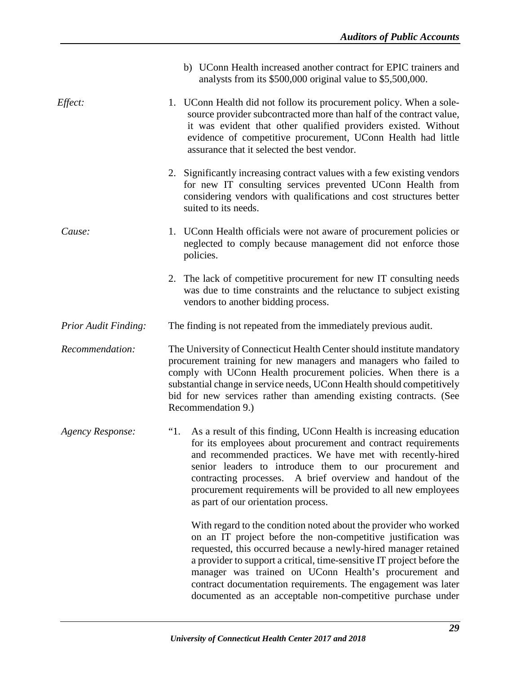|                             | b) UConn Health increased another contract for EPIC trainers and<br>analysts from its \$500,000 original value to \$5,500,000.                                                                                                                                                                                                                                                                                                                                         |
|-----------------------------|------------------------------------------------------------------------------------------------------------------------------------------------------------------------------------------------------------------------------------------------------------------------------------------------------------------------------------------------------------------------------------------------------------------------------------------------------------------------|
| Effect:                     | 1. UConn Health did not follow its procurement policy. When a sole-<br>source provider subcontracted more than half of the contract value,<br>it was evident that other qualified providers existed. Without<br>evidence of competitive procurement, UConn Health had little<br>assurance that it selected the best vendor.                                                                                                                                            |
|                             | 2. Significantly increasing contract values with a few existing vendors<br>for new IT consulting services prevented UConn Health from<br>considering vendors with qualifications and cost structures better<br>suited to its needs.                                                                                                                                                                                                                                    |
| Cause:                      | 1. UConn Health officials were not aware of procurement policies or<br>neglected to comply because management did not enforce those<br>policies.                                                                                                                                                                                                                                                                                                                       |
|                             | 2. The lack of competitive procurement for new IT consulting needs<br>was due to time constraints and the reluctance to subject existing<br>vendors to another bidding process.                                                                                                                                                                                                                                                                                        |
| <b>Prior Audit Finding:</b> | The finding is not repeated from the immediately previous audit.                                                                                                                                                                                                                                                                                                                                                                                                       |
| Recommendation:             | The University of Connecticut Health Center should institute mandatory<br>procurement training for new managers and managers who failed to<br>comply with UConn Health procurement policies. When there is a<br>substantial change in service needs, UConn Health should competitively<br>bid for new services rather than amending existing contracts. (See<br>Recommendation 9.)                                                                                     |
| <b>Agency Response:</b>     | As a result of this finding, UConn Health is increasing education<br>"1.<br>for its employees about procurement and contract requirements<br>and recommended practices. We have met with recently-hired<br>senior leaders to introduce them to our procurement and<br>contracting processes. A brief overview and handout of the<br>procurement requirements will be provided to all new employees<br>as part of our orientation process.                              |
|                             | With regard to the condition noted about the provider who worked<br>on an IT project before the non-competitive justification was<br>requested, this occurred because a newly-hired manager retained<br>a provider to support a critical, time-sensitive IT project before the<br>manager was trained on UConn Health's procurement and<br>contract documentation requirements. The engagement was later<br>documented as an acceptable non-competitive purchase under |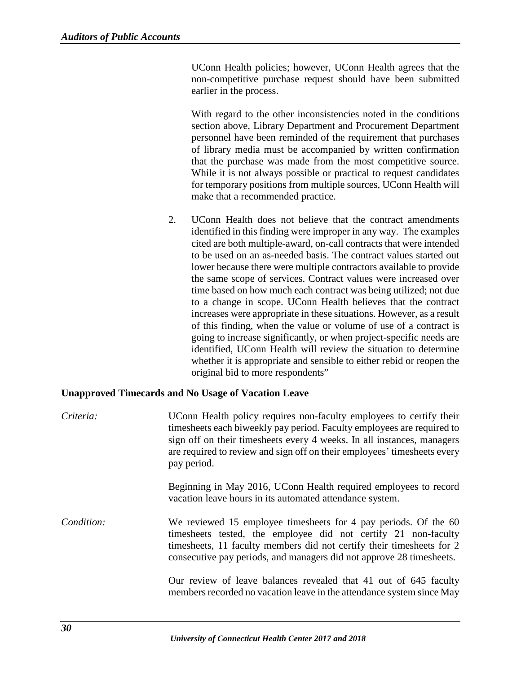UConn Health policies; however, UConn Health agrees that the non-competitive purchase request should have been submitted earlier in the process.

With regard to the other inconsistencies noted in the conditions section above, Library Department and Procurement Department personnel have been reminded of the requirement that purchases of library media must be accompanied by written confirmation that the purchase was made from the most competitive source. While it is not always possible or practical to request candidates for temporary positions from multiple sources, UConn Health will make that a recommended practice.

2. UConn Health does not believe that the contract amendments identified in this finding were improper in any way. The examples cited are both multiple-award, on-call contracts that were intended to be used on an as-needed basis. The contract values started out lower because there were multiple contractors available to provide the same scope of services. Contract values were increased over time based on how much each contract was being utilized; not due to a change in scope. UConn Health believes that the contract increases were appropriate in these situations. However, as a result of this finding, when the value or volume of use of a contract is going to increase significantly, or when project-specific needs are identified, UConn Health will review the situation to determine whether it is appropriate and sensible to either rebid or reopen the original bid to more respondents"

#### <span id="page-32-0"></span>**Unapproved Timecards and No Usage of Vacation Leave**

| Criteria:  | UConn Health policy requires non-faculty employees to certify their<br>timesheets each biweekly pay period. Faculty employees are required to<br>sign off on their timesheets every 4 weeks. In all instances, managers<br>are required to review and sign off on their employees' timesheets every<br>pay period. |
|------------|--------------------------------------------------------------------------------------------------------------------------------------------------------------------------------------------------------------------------------------------------------------------------------------------------------------------|
|            | Beginning in May 2016, UConn Health required employees to record<br>vacation leave hours in its automated attendance system.                                                                                                                                                                                       |
| Condition: | We reviewed 15 employee timesheets for 4 pay periods. Of the 60<br>timesheets tested, the employee did not certify 21 non-faculty<br>timesheets, 11 faculty members did not certify their timesheets for 2<br>consecutive pay periods, and managers did not approve 28 timesheets.                                 |
|            | Our review of leave balances revealed that 41 out of 645 faculty<br>members recorded no vacation leave in the attendance system since May                                                                                                                                                                          |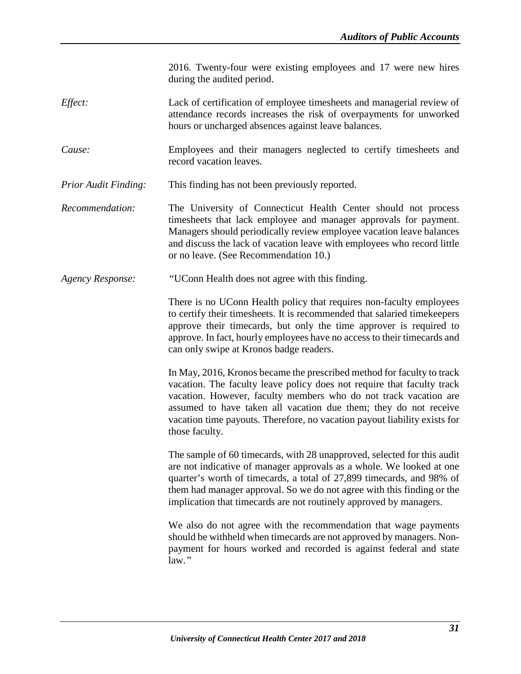2016. Twenty-four were existing employees and 17 were new hires during the audited period.

- *Effect:* Lack of certification of employee timesheets and managerial review of attendance records increases the risk of overpayments for unworked hours or uncharged absences against leave balances.
- *Cause:* Employees and their managers neglected to certify timesheets and record vacation leaves.
- *Prior Audit Finding:* This finding has not been previously reported.
- *Recommendation:* The University of Connecticut Health Center should not process timesheets that lack employee and manager approvals for payment. Managers should periodically review employee vacation leave balances and discuss the lack of vacation leave with employees who record little or no leave. (See Recommendation 10.)
- *Agency Response: "*UConn Health does not agree with this finding.

There is no UConn Health policy that requires non-faculty employees to certify their timesheets. It is recommended that salaried timekeepers approve their timecards, but only the time approver is required to approve. In fact, hourly employees have no access to their timecards and can only swipe at Kronos badge readers.

In May, 2016, Kronos became the prescribed method for faculty to track vacation. The faculty leave policy does not require that faculty track vacation. However, faculty members who do not track vacation are assumed to have taken all vacation due them; they do not receive vacation time payouts. Therefore, no vacation payout liability exists for those faculty.

The sample of 60 timecards, with 28 unapproved, selected for this audit are not indicative of manager approvals as a whole. We looked at one quarter's worth of timecards, a total of 27,899 timecards, and 98% of them had manager approval. So we do not agree with this finding or the implication that timecards are not routinely approved by managers.

We also do not agree with the recommendation that wage payments should be withheld when timecards are not approved by managers. Nonpayment for hours worked and recorded is against federal and state law.*"*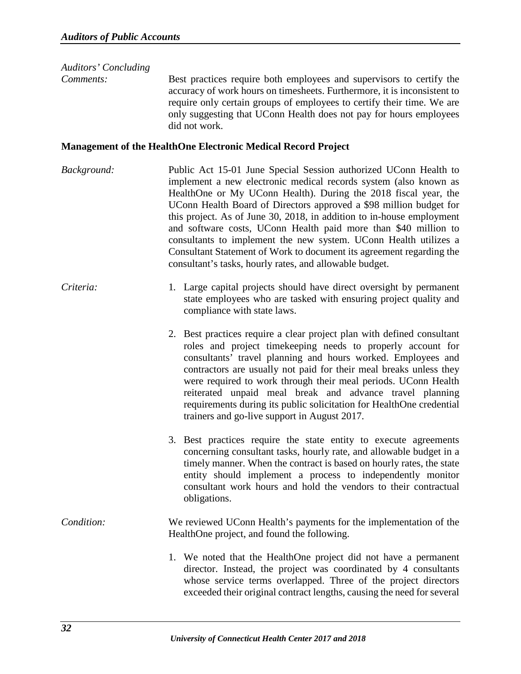#### *Auditors' Concluding*

*Comments:* Best practices require both employees and supervisors to certify the accuracy of work hours on timesheets. Furthermore, it is inconsistent to require only certain groups of employees to certify their time. We are only suggesting that UConn Health does not pay for hours employees did not work.

#### <span id="page-34-0"></span>**Management of the HealthOne Electronic Medical Record Project**

- *Background:* Public Act 15-01 June Special Session authorized UConn Health to implement a new electronic medical records system (also known as HealthOne or My UConn Health). During the 2018 fiscal year, the UConn Health Board of Directors approved a \$98 million budget for this project. As of June 30, 2018, in addition to in-house employment and software costs, UConn Health paid more than \$40 million to consultants to implement the new system. UConn Health utilizes a Consultant Statement of Work to document its agreement regarding the consultant's tasks, hourly rates, and allowable budget.
- *Criteria:* 1*.* Large capital projects should have direct oversight by permanent state employees who are tasked with ensuring project quality and compliance with state laws.
	- 2. Best practices require a clear project plan with defined consultant roles and project timekeeping needs to properly account for consultants' travel planning and hours worked. Employees and contractors are usually not paid for their meal breaks unless they were required to work through their meal periods. UConn Health reiterated unpaid meal break and advance travel planning requirements during its public solicitation for HealthOne credential trainers and go-live support in August 2017.
	- 3. Best practices require the state entity to execute agreements concerning consultant tasks, hourly rate, and allowable budget in a timely manner. When the contract is based on hourly rates, the state entity should implement a process to independently monitor consultant work hours and hold the vendors to their contractual obligations.

#### *Condition:* We reviewed UConn Health's payments for the implementation of the HealthOne project, and found the following.

1. We noted that the HealthOne project did not have a permanent director. Instead, the project was coordinated by 4 consultants whose service terms overlapped. Three of the project directors exceeded their original contract lengths, causing the need for several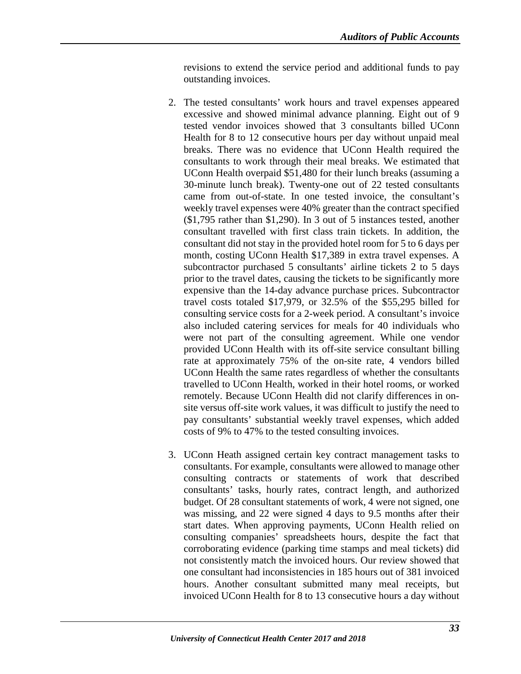revisions to extend the service period and additional funds to pay outstanding invoices.

- 2. The tested consultants' work hours and travel expenses appeared excessive and showed minimal advance planning. Eight out of 9 tested vendor invoices showed that 3 consultants billed UConn Health for 8 to 12 consecutive hours per day without unpaid meal breaks. There was no evidence that UConn Health required the consultants to work through their meal breaks. We estimated that UConn Health overpaid \$51,480 for their lunch breaks (assuming a 30-minute lunch break). Twenty-one out of 22 tested consultants came from out-of-state. In one tested invoice, the consultant's weekly travel expenses were 40% greater than the contract specified (\$1,795 rather than \$1,290). In 3 out of 5 instances tested, another consultant travelled with first class train tickets. In addition, the consultant did not stay in the provided hotel room for 5 to 6 days per month, costing UConn Health \$17,389 in extra travel expenses. A subcontractor purchased 5 consultants' airline tickets 2 to 5 days prior to the travel dates, causing the tickets to be significantly more expensive than the 14-day advance purchase prices. Subcontractor travel costs totaled \$17,979, or 32.5% of the \$55,295 billed for consulting service costs for a 2-week period. A consultant's invoice also included catering services for meals for 40 individuals who were not part of the consulting agreement. While one vendor provided UConn Health with its off-site service consultant billing rate at approximately 75% of the on-site rate, 4 vendors billed UConn Health the same rates regardless of whether the consultants travelled to UConn Health, worked in their hotel rooms, or worked remotely. Because UConn Health did not clarify differences in onsite versus off-site work values, it was difficult to justify the need to pay consultants' substantial weekly travel expenses, which added costs of 9% to 47% to the tested consulting invoices.
- 3. UConn Heath assigned certain key contract management tasks to consultants. For example, consultants were allowed to manage other consulting contracts or statements of work that described consultants' tasks, hourly rates, contract length, and authorized budget. Of 28 consultant statements of work, 4 were not signed, one was missing, and 22 were signed 4 days to 9.5 months after their start dates. When approving payments, UConn Health relied on consulting companies' spreadsheets hours, despite the fact that corroborating evidence (parking time stamps and meal tickets) did not consistently match the invoiced hours. Our review showed that one consultant had inconsistencies in 185 hours out of 381 invoiced hours. Another consultant submitted many meal receipts, but invoiced UConn Health for 8 to 13 consecutive hours a day without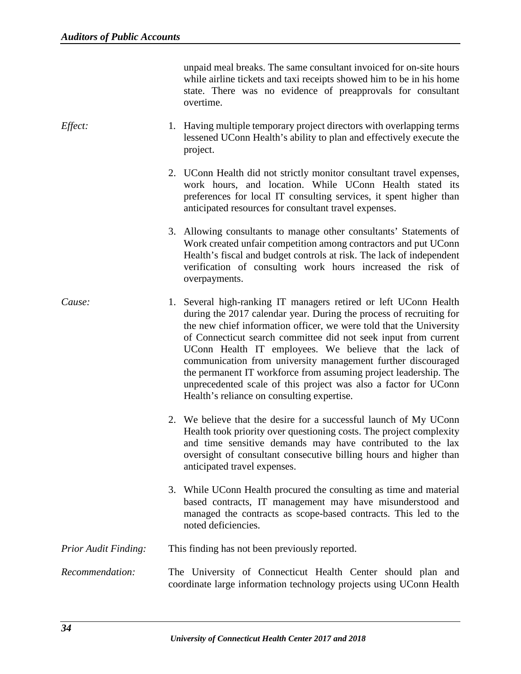unpaid meal breaks. The same consultant invoiced for on-site hours while airline tickets and taxi receipts showed him to be in his home state. There was no evidence of preapprovals for consultant overtime.

- *Effect:* 1. Having multiple temporary project directors with overlapping terms lessened UConn Health's ability to plan and effectively execute the project.
	- 2. UConn Health did not strictly monitor consultant travel expenses, work hours, and location. While UConn Health stated its preferences for local IT consulting services, it spent higher than anticipated resources for consultant travel expenses.
	- 3. Allowing consultants to manage other consultants' Statements of Work created unfair competition among contractors and put UConn Health's fiscal and budget controls at risk. The lack of independent verification of consulting work hours increased the risk of overpayments.
- *Cause:* 1. Several high-ranking IT managers retired or left UConn Health during the 2017 calendar year. During the process of recruiting for the new chief information officer, we were told that the University of Connecticut search committee did not seek input from current UConn Health IT employees. We believe that the lack of communication from university management further discouraged the permanent IT workforce from assuming project leadership. The unprecedented scale of this project was also a factor for UConn Health's reliance on consulting expertise.
	- 2. We believe that the desire for a successful launch of My UConn Health took priority over questioning costs. The project complexity and time sensitive demands may have contributed to the lax oversight of consultant consecutive billing hours and higher than anticipated travel expenses.
	- 3. While UConn Health procured the consulting as time and material based contracts, IT management may have misunderstood and managed the contracts as scope-based contracts. This led to the noted deficiencies.

*Prior Audit Finding:* This finding has not been previously reported.

*Recommendation:* The University of Connecticut Health Center should plan and coordinate large information technology projects using UConn Health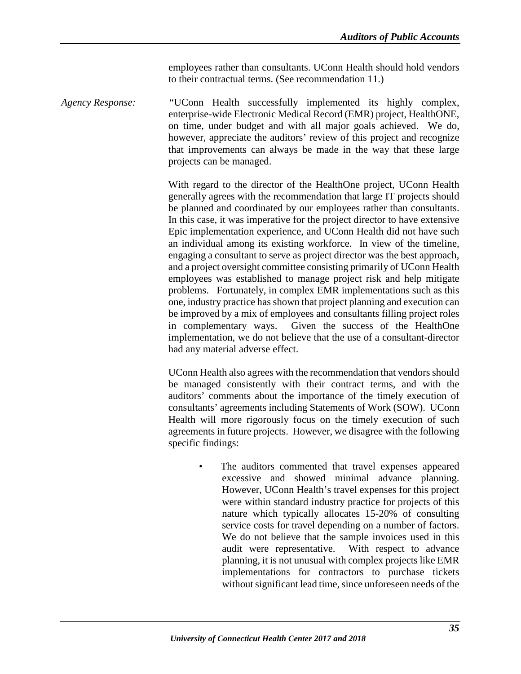employees rather than consultants. UConn Health should hold vendors to their contractual terms. (See recommendation 11.)

*Agency Response: "*UConn Health successfully implemented its highly complex, enterprise-wide Electronic Medical Record (EMR) project, HealthONE, on time, under budget and with all major goals achieved. We do, however, appreciate the auditors' review of this project and recognize that improvements can always be made in the way that these large projects can be managed.

> With regard to the director of the HealthOne project, UConn Health generally agrees with the recommendation that large IT projects should be planned and coordinated by our employees rather than consultants. In this case, it was imperative for the project director to have extensive Epic implementation experience, and UConn Health did not have such an individual among its existing workforce. In view of the timeline, engaging a consultant to serve as project director was the best approach, and a project oversight committee consisting primarily of UConn Health employees was established to manage project risk and help mitigate problems. Fortunately, in complex EMR implementations such as this one, industry practice has shown that project planning and execution can be improved by a mix of employees and consultants filling project roles in complementary ways. Given the success of the HealthOne implementation, we do not believe that the use of a consultant-director had any material adverse effect.

> UConn Health also agrees with the recommendation that vendors should be managed consistently with their contract terms, and with the auditors' comments about the importance of the timely execution of consultants' agreements including Statements of Work (SOW). UConn Health will more rigorously focus on the timely execution of such agreements in future projects. However, we disagree with the following specific findings:

> > • The auditors commented that travel expenses appeared excessive and showed minimal advance planning. However, UConn Health's travel expenses for this project were within standard industry practice for projects of this nature which typically allocates 15-20% of consulting service costs for travel depending on a number of factors. We do not believe that the sample invoices used in this audit were representative. With respect to advance planning, it is not unusual with complex projects like EMR implementations for contractors to purchase tickets without significant lead time, since unforeseen needs of the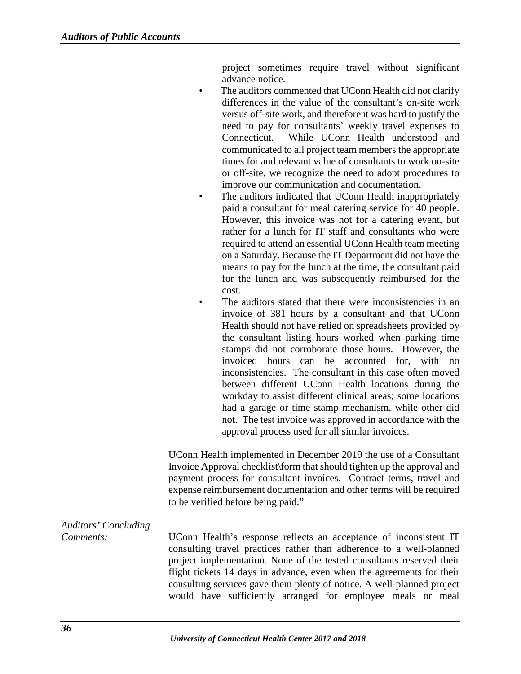project sometimes require travel without significant advance notice.

- The auditors commented that UConn Health did not clarify differences in the value of the consultant's on-site work versus off-site work, and therefore it was hard to justify the need to pay for consultants' weekly travel expenses to Connecticut. While UConn Health understood and communicated to all project team members the appropriate times for and relevant value of consultants to work on-site or off-site, we recognize the need to adopt procedures to improve our communication and documentation.
- The auditors indicated that UConn Health inappropriately paid a consultant for meal catering service for 40 people. However, this invoice was not for a catering event, but rather for a lunch for IT staff and consultants who were required to attend an essential UConn Health team meeting on a Saturday. Because the IT Department did not have the means to pay for the lunch at the time, the consultant paid for the lunch and was subsequently reimbursed for the cost.
- The auditors stated that there were inconsistencies in an invoice of 381 hours by a consultant and that UConn Health should not have relied on spreadsheets provided by the consultant listing hours worked when parking time stamps did not corroborate those hours. However, the invoiced hours can be accounted for, with no inconsistencies. The consultant in this case often moved between different UConn Health locations during the workday to assist different clinical areas; some locations had a garage or time stamp mechanism, while other did not. The test invoice was approved in accordance with the approval process used for all similar invoices.

UConn Health implemented in December 2019 the use of a Consultant Invoice Approval checklist\form that should tighten up the approval and payment process for consultant invoices. Contract terms, travel and expense reimbursement documentation and other terms will be required to be verified before being paid."

# *Auditors' Concluding*

*Comments:* UConn Health's response reflects an acceptance of inconsistent IT consulting travel practices rather than adherence to a well-planned project implementation. None of the tested consultants reserved their flight tickets 14 days in advance, even when the agreements for their consulting services gave them plenty of notice. A well-planned project would have sufficiently arranged for employee meals or meal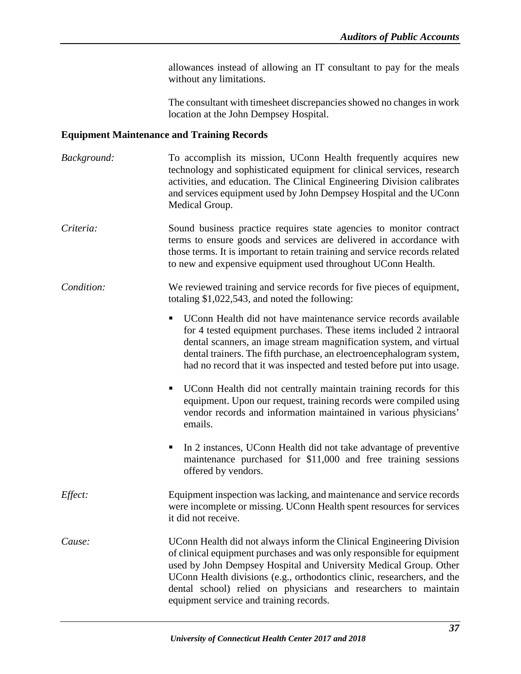allowances instead of allowing an IT consultant to pay for the meals without any limitations.

The consultant with timesheet discrepancies showed no changes in work location at the John Dempsey Hospital.

#### <span id="page-39-0"></span>**Equipment Maintenance and Training Records**

*Background:* To accomplish its mission, UConn Health frequently acquires new technology and sophisticated equipment for clinical services, research activities, and education. The Clinical Engineering Division calibrates and services equipment used by John Dempsey Hospital and the UConn Medical Group. *Criteria:* Sound business practice requires state agencies to monitor contract terms to ensure goods and services are delivered in accordance with those terms. It is important to retain training and service records related to new and expensive equipment used throughout UConn Health. *Condition:* We reviewed training and service records for five pieces of equipment, totaling \$1,022,543, and noted the following: UConn Health did not have maintenance service records available for 4 tested equipment purchases. These items included 2 intraoral dental scanners, an image stream magnification system, and virtual dental trainers. The fifth purchase, an electroencephalogram system, had no record that it was inspected and tested before put into usage. UConn Health did not centrally maintain training records for this equipment. Upon our request, training records were compiled using vendor records and information maintained in various physicians' emails. In 2 instances, UConn Health did not take advantage of preventive maintenance purchased for \$11,000 and free training sessions offered by vendors. *Effect:* Equipment inspection was lacking, and maintenance and service records were incomplete or missing. UConn Health spent resources for services it did not receive. *Cause:* UConn Health did not always inform the Clinical Engineering Division of clinical equipment purchases and was only responsible for equipment used by John Dempsey Hospital and University Medical Group. Other UConn Health divisions (e.g., orthodontics clinic, researchers, and the dental school) relied on physicians and researchers to maintain equipment service and training records.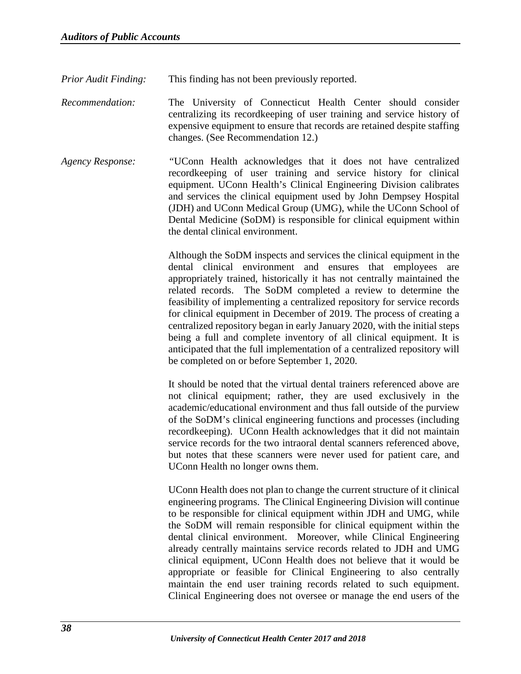*Prior Audit Finding:* This finding has not been previously reported.

*Recommendation:* The University of Connecticut Health Center should consider centralizing its recordkeeping of user training and service history of expensive equipment to ensure that records are retained despite staffing changes. (See Recommendation 12.)

*Agency Response: "*UConn Health acknowledges that it does not have centralized recordkeeping of user training and service history for clinical equipment. UConn Health's Clinical Engineering Division calibrates and services the clinical equipment used by John Dempsey Hospital (JDH) and UConn Medical Group (UMG), while the UConn School of Dental Medicine (SoDM) is responsible for clinical equipment within the dental clinical environment.

> Although the SoDM inspects and services the clinical equipment in the dental clinical environment and ensures that employees are appropriately trained, historically it has not centrally maintained the related records. The SoDM completed a review to determine the feasibility of implementing a centralized repository for service records for clinical equipment in December of 2019. The process of creating a centralized repository began in early January 2020, with the initial steps being a full and complete inventory of all clinical equipment. It is anticipated that the full implementation of a centralized repository will be completed on or before September 1, 2020.

> It should be noted that the virtual dental trainers referenced above are not clinical equipment; rather, they are used exclusively in the academic/educational environment and thus fall outside of the purview of the SoDM's clinical engineering functions and processes (including recordkeeping). UConn Health acknowledges that it did not maintain service records for the two intraoral dental scanners referenced above, but notes that these scanners were never used for patient care, and UConn Health no longer owns them.

> UConn Health does not plan to change the current structure of it clinical engineering programs. The Clinical Engineering Division will continue to be responsible for clinical equipment within JDH and UMG, while the SoDM will remain responsible for clinical equipment within the dental clinical environment. Moreover, while Clinical Engineering already centrally maintains service records related to JDH and UMG clinical equipment, UConn Health does not believe that it would be appropriate or feasible for Clinical Engineering to also centrally maintain the end user training records related to such equipment. Clinical Engineering does not oversee or manage the end users of the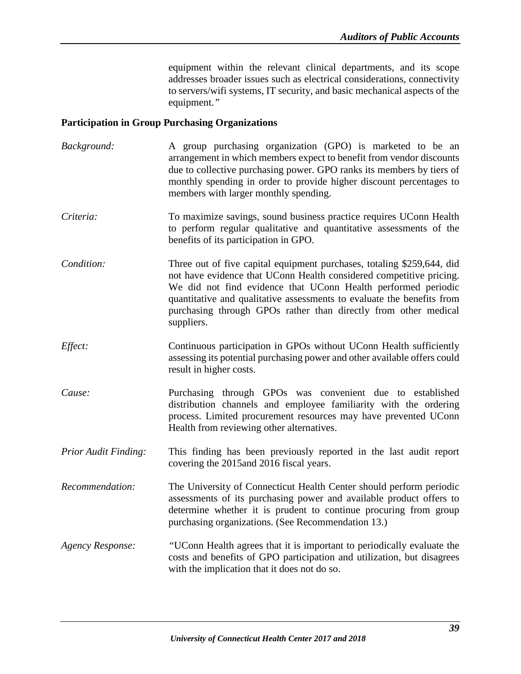equipment within the relevant clinical departments, and its scope addresses broader issues such as electrical considerations, connectivity to servers/wifi systems, IT security, and basic mechanical aspects of the equipment.*"*

#### <span id="page-41-0"></span>**Participation in Group Purchasing Organizations**

- *Background:* A group purchasing organization (GPO) is marketed to be an arrangement in which members expect to benefit from vendor discounts due to collective purchasing power. GPO ranks its members by tiers of monthly spending in order to provide higher discount percentages to members with larger monthly spending.
- *Criteria:* To maximize savings, sound business practice requires UConn Health to perform regular qualitative and quantitative assessments of the benefits of its participation in GPO.
- *Condition:* Three out of five capital equipment purchases, totaling \$259,644, did not have evidence that UConn Health considered competitive pricing. We did not find evidence that UConn Health performed periodic quantitative and qualitative assessments to evaluate the benefits from purchasing through GPOs rather than directly from other medical suppliers.
- *Effect:* Continuous participation in GPOs without UConn Health sufficiently assessing its potential purchasing power and other available offers could result in higher costs.
- *Cause:* Purchasing through GPOs was convenient due to established distribution channels and employee familiarity with the ordering process. Limited procurement resources may have prevented UConn Health from reviewing other alternatives.
- *Prior Audit Finding:* This finding has been previously reported in the last audit report covering the 2015and 2016 fiscal years.
- *Recommendation:* The University of Connecticut Health Center should perform periodic assessments of its purchasing power and available product offers to determine whether it is prudent to continue procuring from group purchasing organizations. (See Recommendation 13.)
- *Agency Response: "*UConn Health agrees that it is important to periodically evaluate the costs and benefits of GPO participation and utilization, but disagrees with the implication that it does not do so.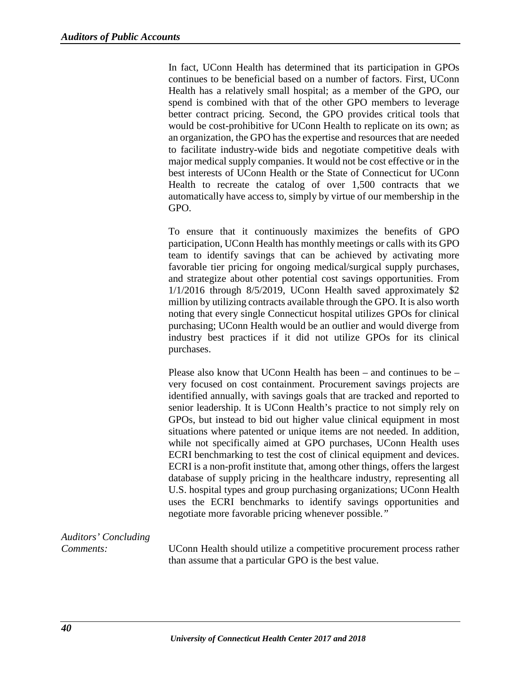In fact, UConn Health has determined that its participation in GPOs continues to be beneficial based on a number of factors. First, UConn Health has a relatively small hospital; as a member of the GPO, our spend is combined with that of the other GPO members to leverage better contract pricing. Second, the GPO provides critical tools that would be cost-prohibitive for UConn Health to replicate on its own; as an organization, the GPO has the expertise and resources that are needed to facilitate industry-wide bids and negotiate competitive deals with major medical supply companies. It would not be cost effective or in the best interests of UConn Health or the State of Connecticut for UConn Health to recreate the catalog of over 1,500 contracts that we automatically have access to, simply by virtue of our membership in the GPO.

To ensure that it continuously maximizes the benefits of GPO participation, UConn Health has monthly meetings or calls with its GPO team to identify savings that can be achieved by activating more favorable tier pricing for ongoing medical/surgical supply purchases, and strategize about other potential cost savings opportunities. From 1/1/2016 through 8/5/2019, UConn Health saved approximately \$2 million by utilizing contracts available through the GPO. It is also worth noting that every single Connecticut hospital utilizes GPOs for clinical purchasing; UConn Health would be an outlier and would diverge from industry best practices if it did not utilize GPOs for its clinical purchases.

Please also know that UConn Health has been – and continues to be – very focused on cost containment. Procurement savings projects are identified annually, with savings goals that are tracked and reported to senior leadership. It is UConn Health's practice to not simply rely on GPOs, but instead to bid out higher value clinical equipment in most situations where patented or unique items are not needed. In addition, while not specifically aimed at GPO purchases, UConn Health uses ECRI benchmarking to test the cost of clinical equipment and devices. ECRI is a non-profit institute that, among other things, offers the largest database of supply pricing in the healthcare industry, representing all U.S. hospital types and group purchasing organizations; UConn Health uses the ECRI benchmarks to identify savings opportunities and negotiate more favorable pricing whenever possible.*"* 

*Auditors' Concluding*

*Comments:* UConn Health should utilize a competitive procurement process rather than assume that a particular GPO is the best value.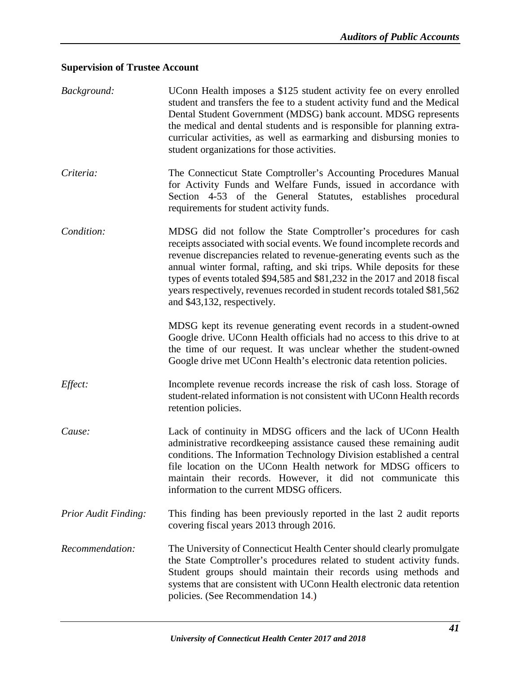## <span id="page-43-0"></span>**Supervision of Trustee Account**

| Background:                 | UConn Health imposes a \$125 student activity fee on every enrolled<br>student and transfers the fee to a student activity fund and the Medical<br>Dental Student Government (MDSG) bank account. MDSG represents<br>the medical and dental students and is responsible for planning extra-<br>curricular activities, as well as earmarking and disbursing monies to<br>student organizations for those activities.                                                                     |
|-----------------------------|-----------------------------------------------------------------------------------------------------------------------------------------------------------------------------------------------------------------------------------------------------------------------------------------------------------------------------------------------------------------------------------------------------------------------------------------------------------------------------------------|
| Criteria:                   | The Connecticut State Comptroller's Accounting Procedures Manual<br>for Activity Funds and Welfare Funds, issued in accordance with<br>Section 4-53 of the General Statutes, establishes procedural<br>requirements for student activity funds.                                                                                                                                                                                                                                         |
| Condition:                  | MDSG did not follow the State Comptroller's procedures for cash<br>receipts associated with social events. We found incomplete records and<br>revenue discrepancies related to revenue-generating events such as the<br>annual winter formal, rafting, and ski trips. While deposits for these<br>types of events totaled \$94,585 and \$81,232 in the 2017 and 2018 fiscal<br>years respectively, revenues recorded in student records totaled \$81,562<br>and \$43,132, respectively. |
|                             | MDSG kept its revenue generating event records in a student-owned<br>Google drive. UConn Health officials had no access to this drive to at<br>the time of our request. It was unclear whether the student-owned<br>Google drive met UConn Health's electronic data retention policies.                                                                                                                                                                                                 |
| Effect:                     | Incomplete revenue records increase the risk of cash loss. Storage of<br>student-related information is not consistent with UConn Health records<br>retention policies.                                                                                                                                                                                                                                                                                                                 |
| Cause:                      | Lack of continuity in MDSG officers and the lack of UConn Health<br>administrative recordkeeping assistance caused these remaining audit<br>conditions. The Information Technology Division established a central<br>file location on the UConn Health network for MDSG officers to<br>maintain their records. However, it did not communicate this<br>information to the current MDSG officers.                                                                                        |
| <b>Prior Audit Finding:</b> | This finding has been previously reported in the last 2 audit reports<br>covering fiscal years 2013 through 2016.                                                                                                                                                                                                                                                                                                                                                                       |
| Recommendation:             | The University of Connecticut Health Center should clearly promulgate<br>the State Comptroller's procedures related to student activity funds.<br>Student groups should maintain their records using methods and<br>systems that are consistent with UConn Health electronic data retention<br>policies. (See Recommendation 14.)                                                                                                                                                       |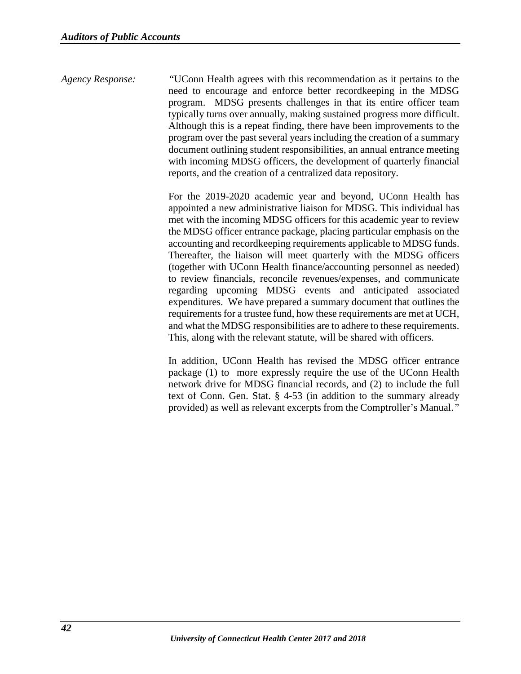*Agency Response: "*UConn Health agrees with this recommendation as it pertains to the need to encourage and enforce better recordkeeping in the MDSG program. MDSG presents challenges in that its entire officer team typically turns over annually, making sustained progress more difficult. Although this is a repeat finding, there have been improvements to the program over the past several years including the creation of a summary document outlining student responsibilities, an annual entrance meeting with incoming MDSG officers, the development of quarterly financial reports, and the creation of a centralized data repository.

> For the 2019-2020 academic year and beyond, UConn Health has appointed a new administrative liaison for MDSG. This individual has met with the incoming MDSG officers for this academic year to review the MDSG officer entrance package, placing particular emphasis on the accounting and recordkeeping requirements applicable to MDSG funds. Thereafter, the liaison will meet quarterly with the MDSG officers (together with UConn Health finance/accounting personnel as needed) to review financials, reconcile revenues/expenses, and communicate regarding upcoming MDSG events and anticipated associated expenditures. We have prepared a summary document that outlines the requirements for a trustee fund, how these requirements are met at UCH, and what the MDSG responsibilities are to adhere to these requirements. This, along with the relevant statute, will be shared with officers.

> In addition, UConn Health has revised the MDSG officer entrance package (1) to more expressly require the use of the UConn Health network drive for MDSG financial records, and (2) to include the full text of Conn. Gen. Stat. § 4-53 (in addition to the summary already provided) as well as relevant excerpts from the Comptroller's Manual.*"*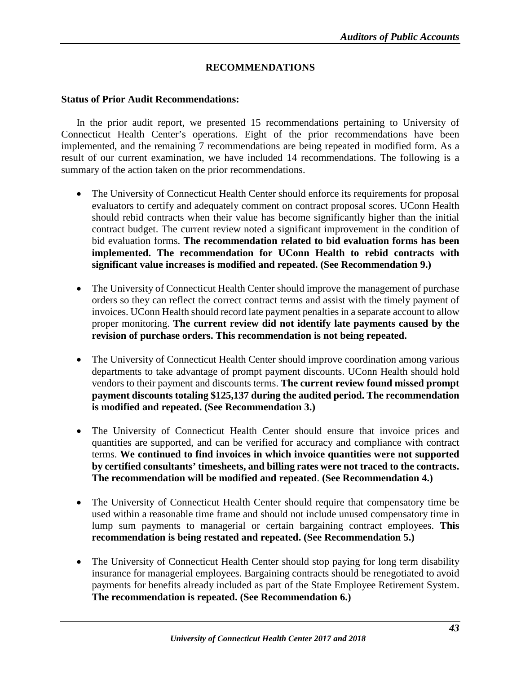#### **RECOMMENDATIONS**

#### <span id="page-45-1"></span><span id="page-45-0"></span>**Status of Prior Audit Recommendations:**

In the prior audit report, we presented 15 recommendations pertaining to University of Connecticut Health Center's operations. Eight of the prior recommendations have been implemented, and the remaining 7 recommendations are being repeated in modified form. As a result of our current examination, we have included 14 recommendations. The following is a summary of the action taken on the prior recommendations.

- The University of Connecticut Health Center should enforce its requirements for proposal evaluators to certify and adequately comment on contract proposal scores. UConn Health should rebid contracts when their value has become significantly higher than the initial contract budget. The current review noted a significant improvement in the condition of bid evaluation forms. **The recommendation related to bid evaluation forms has been implemented. The recommendation for UConn Health to rebid contracts with significant value increases is modified and repeated. (See Recommendation 9.)**
- The University of Connecticut Health Center should improve the management of purchase orders so they can reflect the correct contract terms and assist with the timely payment of invoices. UConn Health should record late payment penalties in a separate account to allow proper monitoring. **The current review did not identify late payments caused by the revision of purchase orders. This recommendation is not being repeated.**
- The University of Connecticut Health Center should improve coordination among various departments to take advantage of prompt payment discounts. UConn Health should hold vendors to their payment and discounts terms. **The current review found missed prompt payment discounts totaling \$125,137 during the audited period. The recommendation is modified and repeated. (See Recommendation 3.)**
- The University of Connecticut Health Center should ensure that invoice prices and quantities are supported, and can be verified for accuracy and compliance with contract terms. **We continued to find invoices in which invoice quantities were not supported by certified consultants' timesheets, and billing rates were not traced to the contracts. The recommendation will be modified and repeated**. **(See Recommendation 4.)**
- The University of Connecticut Health Center should require that compensatory time be used within a reasonable time frame and should not include unused compensatory time in lump sum payments to managerial or certain bargaining contract employees. **This recommendation is being restated and repeated. (See Recommendation 5.)**
- The University of Connecticut Health Center should stop paying for long term disability insurance for managerial employees. Bargaining contracts should be renegotiated to avoid payments for benefits already included as part of the State Employee Retirement System. **The recommendation is repeated. (See Recommendation 6.)**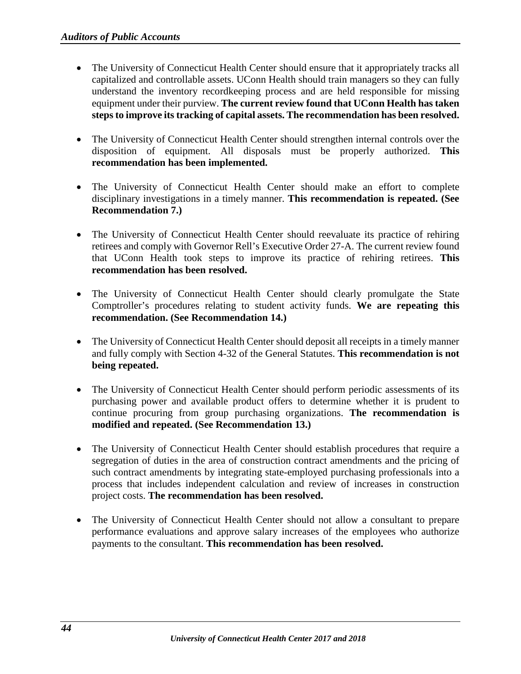- The University of Connecticut Health Center should ensure that it appropriately tracks all capitalized and controllable assets. UConn Health should train managers so they can fully understand the inventory recordkeeping process and are held responsible for missing equipment under their purview. **The current review found that UConn Health has taken steps to improve its tracking of capital assets. The recommendation has been resolved.**
- The University of Connecticut Health Center should strengthen internal controls over the disposition of equipment. All disposals must be properly authorized. **This recommendation has been implemented.**
- The University of Connecticut Health Center should make an effort to complete disciplinary investigations in a timely manner. **This recommendation is repeated. (See Recommendation 7.)**
- The University of Connecticut Health Center should reevaluate its practice of rehiring retirees and comply with Governor Rell's Executive Order 27-A. The current review found that UConn Health took steps to improve its practice of rehiring retirees. **This recommendation has been resolved.**
- The University of Connecticut Health Center should clearly promulgate the State Comptroller's procedures relating to student activity funds. **We are repeating this recommendation. (See Recommendation 14.)**
- The University of Connecticut Health Center should deposit all receipts in a timely manner and fully comply with Section 4-32 of the General Statutes. **This recommendation is not being repeated.**
- The University of Connecticut Health Center should perform periodic assessments of its purchasing power and available product offers to determine whether it is prudent to continue procuring from group purchasing organizations. **The recommendation is modified and repeated. (See Recommendation 13.)**
- The University of Connecticut Health Center should establish procedures that require a segregation of duties in the area of construction contract amendments and the pricing of such contract amendments by integrating state-employed purchasing professionals into a process that includes independent calculation and review of increases in construction project costs. **The recommendation has been resolved.**
- The University of Connecticut Health Center should not allow a consultant to prepare performance evaluations and approve salary increases of the employees who authorize payments to the consultant. **This recommendation has been resolved.**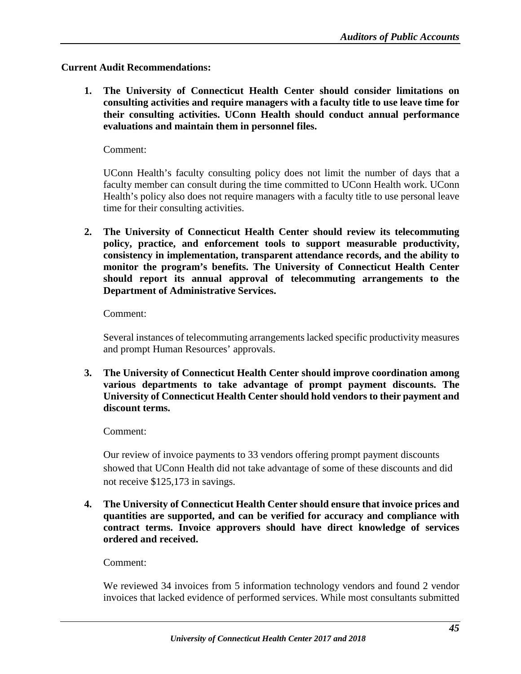#### <span id="page-47-0"></span>**Current Audit Recommendations:**

**1. The University of Connecticut Health Center should consider limitations on consulting activities and require managers with a faculty title to use leave time for their consulting activities. UConn Health should conduct annual performance evaluations and maintain them in personnel files.**

Comment:

UConn Health's faculty consulting policy does not limit the number of days that a faculty member can consult during the time committed to UConn Health work. UConn Health's policy also does not require managers with a faculty title to use personal leave time for their consulting activities.

**2. The University of Connecticut Health Center should review its telecommuting policy, practice, and enforcement tools to support measurable productivity, consistency in implementation, transparent attendance records, and the ability to monitor the program's benefits. The University of Connecticut Health Center should report its annual approval of telecommuting arrangements to the Department of Administrative Services.**

Comment:

Several instances of telecommuting arrangements lacked specific productivity measures and prompt Human Resources' approvals.

**3. The University of Connecticut Health Center should improve coordination among various departments to take advantage of prompt payment discounts. The University of Connecticut Health Center should hold vendors to their payment and discount terms.**

#### Comment:

Our review of invoice payments to 33 vendors offering prompt payment discounts showed that UConn Health did not take advantage of some of these discounts and did not receive \$125,173 in savings.

**4. The University of Connecticut Health Center should ensure that invoice prices and quantities are supported, and can be verified for accuracy and compliance with contract terms. Invoice approvers should have direct knowledge of services ordered and received.**

#### Comment:

We reviewed 34 invoices from 5 information technology vendors and found 2 vendor invoices that lacked evidence of performed services. While most consultants submitted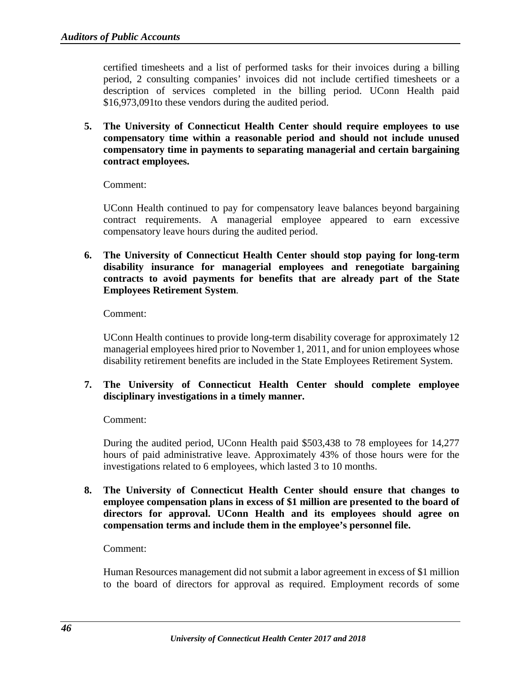certified timesheets and a list of performed tasks for their invoices during a billing period, 2 consulting companies' invoices did not include certified timesheets or a description of services completed in the billing period. UConn Health paid \$16,973,091to these vendors during the audited period.

**5. The University of Connecticut Health Center should require employees to use compensatory time within a reasonable period and should not include unused compensatory time in payments to separating managerial and certain bargaining contract employees.**

Comment:

UConn Health continued to pay for compensatory leave balances beyond bargaining contract requirements. A managerial employee appeared to earn excessive compensatory leave hours during the audited period.

**6. The University of Connecticut Health Center should stop paying for long-term disability insurance for managerial employees and renegotiate bargaining contracts to avoid payments for benefits that are already part of the State Employees Retirement System**.

Comment:

UConn Health continues to provide long-term disability coverage for approximately 12 managerial employees hired prior to November 1, 2011, and for union employees whose disability retirement benefits are included in the State Employees Retirement System.

**7. The University of Connecticut Health Center should complete employee disciplinary investigations in a timely manner.**

#### Comment:

During the audited period, UConn Health paid \$503,438 to 78 employees for 14,277 hours of paid administrative leave. Approximately 43% of those hours were for the investigations related to 6 employees, which lasted 3 to 10 months.

**8. The University of Connecticut Health Center should ensure that changes to employee compensation plans in excess of \$1 million are presented to the board of directors for approval. UConn Health and its employees should agree on compensation terms and include them in the employee's personnel file.**

#### Comment:

Human Resources management did not submit a labor agreement in excess of \$1 million to the board of directors for approval as required. Employment records of some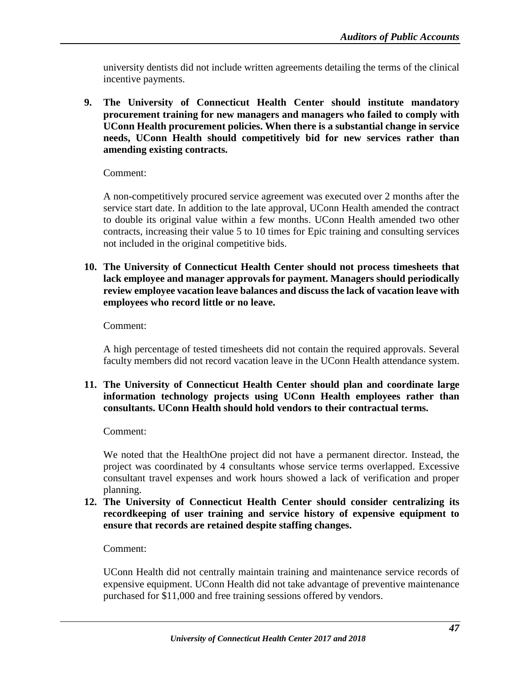university dentists did not include written agreements detailing the terms of the clinical incentive payments.

**9. The University of Connecticut Health Center should institute mandatory procurement training for new managers and managers who failed to comply with UConn Health procurement policies. When there is a substantial change in service needs, UConn Health should competitively bid for new services rather than amending existing contracts.** 

Comment:

A non-competitively procured service agreement was executed over 2 months after the service start date. In addition to the late approval, UConn Health amended the contract to double its original value within a few months. UConn Health amended two other contracts, increasing their value 5 to 10 times for Epic training and consulting services not included in the original competitive bids.

**10. The University of Connecticut Health Center should not process timesheets that lack employee and manager approvals for payment. Managers should periodically review employee vacation leave balances and discuss the lack of vacation leave with employees who record little or no leave.** 

Comment:

A high percentage of tested timesheets did not contain the required approvals. Several faculty members did not record vacation leave in the UConn Health attendance system.

#### **11. The University of Connecticut Health Center should plan and coordinate large information technology projects using UConn Health employees rather than consultants. UConn Health should hold vendors to their contractual terms.**

Comment:

We noted that the HealthOne project did not have a permanent director. Instead, the project was coordinated by 4 consultants whose service terms overlapped. Excessive consultant travel expenses and work hours showed a lack of verification and proper planning.

**12. The University of Connecticut Health Center should consider centralizing its recordkeeping of user training and service history of expensive equipment to ensure that records are retained despite staffing changes.**

Comment:

UConn Health did not centrally maintain training and maintenance service records of expensive equipment. UConn Health did not take advantage of preventive maintenance purchased for \$11,000 and free training sessions offered by vendors.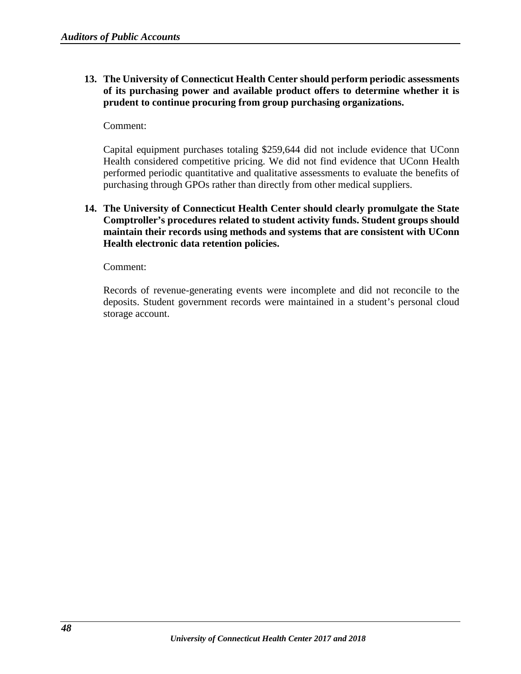**13. The University of Connecticut Health Center should perform periodic assessments of its purchasing power and available product offers to determine whether it is prudent to continue procuring from group purchasing organizations.**

#### Comment:

Capital equipment purchases totaling \$259,644 did not include evidence that UConn Health considered competitive pricing. We did not find evidence that UConn Health performed periodic quantitative and qualitative assessments to evaluate the benefits of purchasing through GPOs rather than directly from other medical suppliers.

**14. The University of Connecticut Health Center should clearly promulgate the State Comptroller's procedures related to student activity funds. Student groups should maintain their records using methods and systems that are consistent with UConn Health electronic data retention policies.**

Comment:

Records of revenue-generating events were incomplete and did not reconcile to the deposits. Student government records were maintained in a student's personal cloud storage account.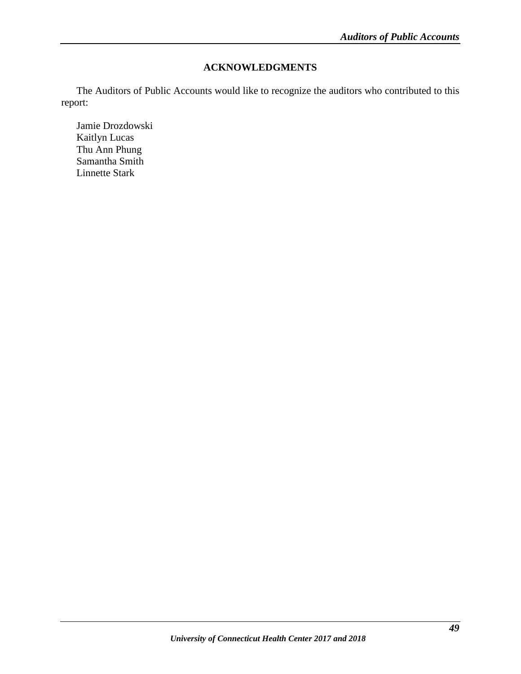#### **ACKNOWLEDGMENTS**

<span id="page-51-0"></span>The Auditors of Public Accounts would like to recognize the auditors who contributed to this report:

Jamie Drozdowski Kaitlyn Lucas Thu Ann Phung Samantha Smith Linnette Stark